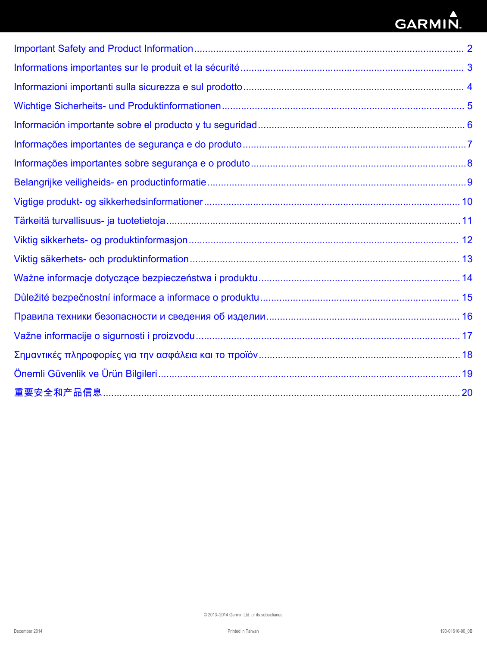# GARMIN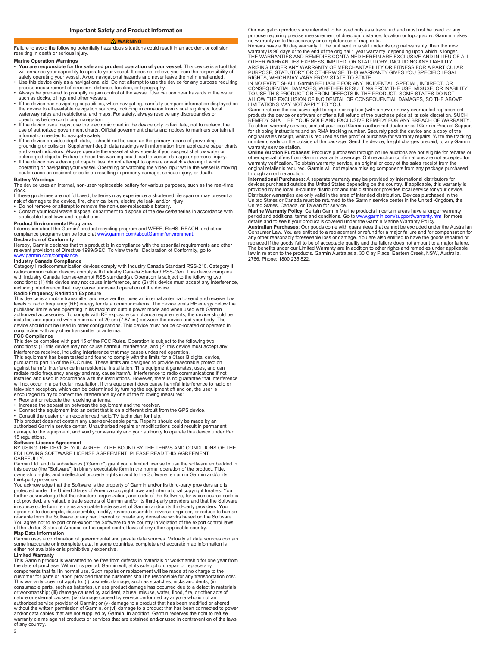#### **WARNING**

<span id="page-1-0"></span>Failure to avoid the following potentially hazardous situations could result in an accident or collision resulting in death or serious injury.

# **Marine Operation Warnings**

- **You are responsible for the safe and prudent operation of your vessel.** This device is a tool that wi<br>sa<br>• U
- pr<br>ام •
- such as docks, pilings and other vessels. • If the device has navigating capabilities, when navigating, carefully compare information displayed on
- the device to all available navigation sources, including information from visual sightings, local<br>waterway rules and restrictions, and maps. For safety, always resolve any discrepancies or
- questions before continuing navigation.<br>• If the device uses maps, use the electronic chart in the device only to facilitate, not to replace, the<br>• use of authorized government charts. Official government charts and notice
- information needed to navigate safely.<br>• If the device provides depth data, it should not be used as the primary means of preventing<br>grounding or collision. Supplement depth data readings with information from applicable p submerged objects. Failure to heed this warning could lead vessel damage or personal injury. • If the device has video input capabilities, do not attempt to operate or watch video input while
- op<br>cc

### **Battery Warnings**

The device uses an internal, non-user-replaceable battery for various purposes, such as the real-time clock.

If these guidelines are not followed, batteries may experience a shortened life span or may present a risk of damage to the device, fire, chemical burn, electrolyte leak, and/or injury.

• Do not remove or attempt to remove the non-user-replaceable battery.<br>• Contact your local waste disposal department to dispose of the device/batteries in accordance with

# applicable local laws and regulations.

**Product Environmental Programs**<br>Information about the Garmin® product recycling program and WEEE, RoHS, REACH, and other

compliance programs can be found at [www.garmin.com/aboutGarmin/environment](http://www.garmin.com/aboutGarmin/environment).<br>**Declaration of Conformity**<br>Hereby, Garmin declares that this product is in compliance with the essential requirements and other<br>Helevant provisio [www.garmin.com/compliance](http://www.garmin.com/compliance).

# **Industry Canada Compliance**

Ci<br>ra with Industry Canada license-exempt RSS standard(s). Operation is subject to the following two conditions: (1) this device may not cause interference, and (2) this device must accept any interference, including interference that may cause undesired operation of the device.

# **Radio Frequency Radiation Exposure**

This device is a mobile transmitter and receiver that uses an internal antenna to send and receive low levels of radio frequency (RF) energy for data communications. The device emits RF below the published limits when operating in its maximum output power mode and when used with Garmin<br>authorized accessories. To comply with RF exposure compliance requirements, the device should be<br>installed and operated with a mini device should not be used in other configurations. This device must not be co-located or operated in conjunction with any other transmitter or antenna.

#### **FCC Compliance**

This device complies with part 15 of the FCC Rules. Operation is subject to the following two<br>conditions: (1) this device may not cause harmful interference, and (2) this device must accept any<br>interference received, inclu This equipment has been tested and found to comply with the limits for a Class B digital device, pursuant to part 15 of the FCC rules. These limits are designed provide reasonable protection against harmful interference in a residential installation. This equipment generates, uses, and can<br>radiate radio frequency energy and may cause harmful interference to radio communications if not<br>installed and used in acc will not occur in a particular installation. If this equipment does cause harmful interference to radio or television reception, which can be determined by turning the equipment off and on, the user is encouraged to try to correct the interference by one of the following measures:

Reorient or relocate the receiving antenna.

• In<br>• C • Consult the dealer or an experienced radio/TV technician for help.

This product does not contain any user-serviceable parts. Repairs should only be made by an<br>authorized Garmin service center. Unauthorized repairs or modifications could result in permanent<br>damage to the equipment, and voi 15 regulations.

**Software License Agreement** BY USING THE DEVICE, YOU AGREE TO BE BOUND BY THE TERMS AND CONDITIONS OF THE FOLLOWING SOFTWARE LICENSE AGREEMENT. PLEASE READ THIS AGREEMENT

CAREFULLY. Garmin Ltd. and its subsidiaries ("Garmin") grant you a limited license to use the software embedded in this device (the "Software") in binary executable form in the normal operation of the product. Title,<br>ownership rights, and intellectual property rights in and to the Software remain in Garmin and/or its third-party providers.

You acknowledge that the Software is the property of Garmin and/or its third-party providers and is protected under the United States of America copyright laws and international copyright treaties. You<br>further acknowledge that the structure, organization, and code of the Software, for which source code is<br>not provided, a readable form the Software or any part thereof or create any derivative works based on the Software. You agree not to export or re-export the Software to any country in violation of the export control laws<br>of the United States of America or the export control laws of any other applicable country.

#### **Map Data Information**

Garmin us<br>some inac either not available or is prohibitively expensive.

#### **Limited Warranty**

2

This Garmin product is warranted to be free from defects in materials or workmanship for one year from the date of purchase. Within this period, Garmin will, at its sole option, repair or replace any components that fail in normal use. Such repairs or replacement will be made at no charge to the customer for parts or labor, provided that the customer shall be responsible for any transportation cost.<br>This warranty does not apply to: (i) cosmetic damage, such as scratches, nicks and dents; (ii)<br>consumable parts, suc or workmanship; (iii) damage caused by accident, abuse, misuse, water, flood, fire, or other acts of nature or external causes; (iv) damage caused by service performed by anyone who is not an authorized service provider of Garmin; or (v) damage to a product that has been modified or altered<br>without the written permission of Garmin, or (vi) damage to a product that has been connected to power<br>and/or data cables warranty claims against products or services that are obtained and/or used in contravention of the laws of any country.

Our navigation products are intended to be used only as a travel aid and must not be used for any purpose requiring precise measurement of direction, distance, location or topography. Garmin makes no warranty as to the accuracy or completeness of map data.

Repairs have a 90 day warranty. If the unit sent in is still under its original warranty, then the new<br>warranty is 90 days or to the end of the original 1 year warranty, depending upon which is longer.<br>THE WARRANTIES AND R OTHER WARRANTIES EXPRESS, IMPLIED, OR STATUTORY, INCLUDING ANY LIABILITY<br>ARISING UNDER ANY WARRANTY OF MERCHANTABILITY OR FITNESS FOR A PARTICULAR<br>PURPOSE, STATUTORY OR OTHERWISE. THIS WARRANTY GIVES YOU SPECIFIC LEGAL<br>RIG

IN NO EVENT SHALL Garmin BE LIABLE FOR ANY INCIDENTAL, SPECIAL, INDIRECT, OR<br>CONSEQUENTIAL DAMAGES, WHETHER RESULTING FROM THE USE, MISUSE, OR INABILITY<br>TO USE THIS PRODUCT OR FROM DEFECTS IN THE PRODUCT. SOME STATES DO NO ALLOW THE EXCLUSION OF INCIDENTAL OR CONSEQUENTIAL DAMAGES, SO THE ABOVE LIMITATIONS MAY NOT APPLY TO YOU.

Garmin retains the exclusive right to repair or replace (with a new or newly-overhauled replacement pr<br>RI To obtain warranty service, contact your local Garmin authorized dealer or call Garmin Product Support<br>for shipping instructions and an RMA tracking number. Securely pack the device and a copy of the<br>original sales receipt number clearly on the outside of the package. Send the device, freight charges prepaid, to any Garmin number warranty service station.

**Online Auction Purchases**: Products purchased through online auctions are not eligible for rebates or other special offers from Garmin warranty coverage. Online auction confirmations are not accepted for warranty verification. To obtain warranty service, an original or copy of the sales receipt from the<br>original retailer is required. Garmin will not replace missing components from any package purchased through an online auction.

**International Purchases**: A separate warranty may be provided by international distributors for<br>devices purchased outside the United States depending on the county. If applicable, this warra<br>provided by the local in-count Distributor warranties are only valid in the area of intended distribution. Devices purchased in the<br>United States or Canada must be returned to the Garmin service center in the United Kingdom, the<br>United States, Canada, o

**Marine Warranty Policy**: Certain Garmin Marine products in certain areas have a longer warranty<br>period and additional terms and conditions. Go to [www.garmin.com/support/warranty.html](http://www.garmin.com/support/warranty.html) for more

details and to see if your product is covered under the Garmin Marine Warranty Policy. **Australian Purchases**: Our goods come with guarantees that cannot be excluded under the Australian C<br>ar replaced if the goods fail to be of acceptable quality and the failure does not amount to a major failure<br>The benefits under our Limited Warranty are in addition to other rights and remedies under applicable<br>law in relatio 2766. Phone: 1800 235 822.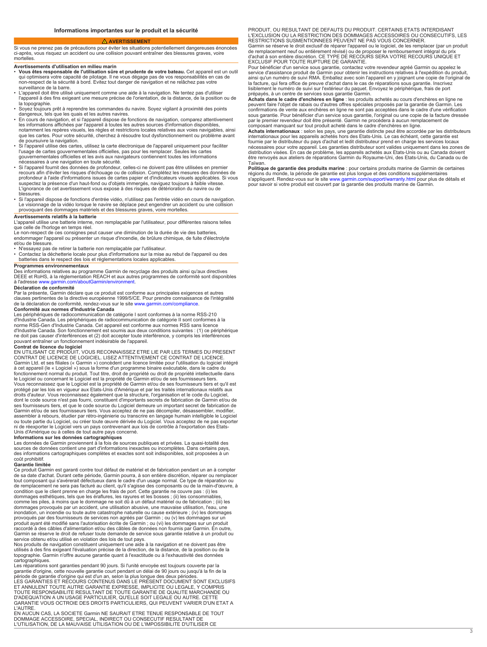### **AVERTISSEMENT**

<span id="page-2-0"></span>Si vous ne prenez pas de précautions pour éviter les situations potentiellement dangereuses énoncées ci-après, vous risquez un accident ou une collision pouvant entraîner des blessures graves, voire mortelles.

- **Avertissements d'utilisation en milieu marin Vous êtes responsable de l'utilisation sûre et prudente votre bateau.** Cet appareil est un outil qı<br>no surveillance de la barre.<br>• L'appareil doit être utilisé uniquement comme une aide à la navigation. Ne tentez pas ∈
- l'appareil à des fins exigeant une mesure précise de l'orientation, de la distance, de la position ou de la topographie.
- وا<br>da
- En cours de navigation, et si l'appareil dispose de fonctions de navigation, comparez attentivement les informations affichées par l'appareil à toutes les autres sources d'information disponibles, notamment les repères visuels, les règles et restrictions locales relatives aux voies navigables, ainsi que les cartes. Pour votre sécurité, cherchez à résoudre tout dysfonctionnement ou problème avant
- de poursuivre la navigation.<br>• Si l'appareil utilise des cartes, utilisez la carte électronique de l'appareil uniquement pour faciliter<br>· l'usage de cartes gouvernementales officielles, pas pour les remplacer. Seules les c gouvernementales officielles et les avis aux navigateurs contiennent toutes les informations nécessaires à une navigation en toute sécurité.
- · Si l'appareil fournit des données de profondeur, celles-ci ne doivent pas être utilisées en premier recours afin d'éviter les risques d'échouage ou de collision. Complétez les risques de données<br>profondeur à l'aide d'inf L'ignorance de cet avertissement vous expose à des risques de détérioration du navire ou de
- blessures.<br>• Si l'appareil dispose de fonctions d'entrée vidéo, n'utilisez pas l'e Le visionnage de la vidéo lorsque le navire se déplace peut engendrer un accident ou une collision provoquant des dommages matériels et des blessures graves, voire mortelles

**Avertissements relatifs à la batterie** L'appareil utilise une batterie interne, non remplaçable par l'utilisateur, pour différentes raisons telles que celle de l'horloge en temps réel.

- Le non-respect de ces consignes peut causer une diminution de la durée de vie des batteries, endommager l'appareil ou présenter un risque d'incendie, de brûlure chimique, de fuite d'électrolyte et/ou de blessure.
- 
- N'essayez pas de retirer la batterie non remplaçable par l'utilisateur.<br>• Contactez la déchetterie locale pour plus d'informations sur la mise au rebut de l'appareil ou des<br>• batteries dans le respect des lois et régl

#### **Programmes environnementaux**

Des informations relatives au programme Garmin de recyclage des produits ainsi qu'aux directives DEEE et RoHS, à la réglementation REACH et aux autres programmes de conformité sont disponibles à l'adresse [www.garmin.com/aboutGarmin/environment.](http://www.garmin.com/aboutGarmin/environment)

### **Déclaration de conformité**

Par la présente, Garmin déclare que ce produit est conforme aux principales exigences et autres<br>clauses pertinentes de la directive européenne 1999/5/CE. Pour prendre connaissance de l'intégr de la déclaration de conformité, rendez-vous sur le site [www.garmin.com/compliance](http://www.garmin.com/compliance). **Conformité aux normes d'Industrie Canada**

Les périphériques de radiocommunication de catégorie I sont conformes à la norme RSS-210 d'Industrie Canac<br>norme RSS-Gen<br>d'Industrie Canac ne doit pas causer d'interférences et (2) doit accepter toute interférence, y compris les interférences pouvant entraîner un fonctionnement indésirable de l'appareil.

**Contrat de licence du logiciel** EN UTILISANT CE PRODUIT, VOUS RECONNAISSEZ ETRE LIE PAR LES TERMES DU PRESENT CONTRAT DE LICENCE DE LOGICIEL. LISEZ ATTENTIVEMENT CE CONTRAT DE LICENCE. Garmin Ltd. et ses filiales (« Garmin ») concèdent une licence limitée pour l'utilisation du logiciel intégré<br>à cet appareil (le « Logiciel ») sous la forme d'un programme binaire exécutable, dans le cadre du<br>fonctionnemen le Logiciel ou concernant le Logiciel est la propriété de Garmin et/ou de ses fournisseurs tiers. Vous reconnaissez que le Logiciel est la propriété de Garmin et/ou de ses fournisseurs tiers et qu'il est protégé par les lois en vigueur aux Etats-Unis d'Amérique et par les traités internationaux relatifs aux<br>droits d'auteur. Vous reconnaissez également que la structure, l'organisation et le code du Logiciel,<br>dont le code so ses fournisseurs tiers, et que le code source du Logiciel demeure un important secret de fabrication de Garmin et/ou de ses fournisseurs tiers. Vous acceptez de ne pas décompiler, désassembler, modifier,<br>assembler à rebours, étudier par rétro-ingénierie ou transcrire en langage humain intelligible le Logiciel<br>ou toute partie ni de réexporter le Logiciel vers un pays contrevenant aux lois de contrôle à l'exportation des Etats-Unis d'Amérique ou à celles de tout autre pays concerné.

**Informations sur les données cartographiques**<br>Les données de Garmin proviennent à la fois de s sources de données contient une part d'informations inexactes ou incomplètes. Dans certains pays, des informations cartographiques complètes et exactes sont soit indisponibles, soit proposées à un coût prohibitif.

#### **Garantie limitée**

Ce produit Garmin est garanti contre tout défaut de matériel et de fabrication pendant un an à compter de sa date d'achat. Durant cette période, Garmin pourra, à son entière discrétion, réparer ou remplacer<br>tout composant qui s'avérerait défectueux dans le cadre d'un usage normal. Ce type de réparation ou<br>de remplacement ne condition que le client prenne en charge les frais de port. Cette garantie ne couvre pas : (i) les dommages esthétiques, tels que les éraflures, les rayures et les bosses ; (ii) les consommables,<br>comme les piles, à moins que le dommage ne soit dû à un défaut matériel ou de fabrication ; (iii) le:<br>dommages provoqués par inondation, un incendie ou toute autre catastrophe naturelle ou cause<br>provoqués par des fournisseurs de services non agréés par Garmin ; produit ayant été modifié sans l'autorisation écrite de Garmin ; ou (vi) les dommages sur un<br>raccordé à des câbles d'alimentation et/ou des câbles de données non fournis par Garmin. Garmin se réserve le droit de refuser toute demande de service sous garantie relative à un produit ou service obtenu et/ou utilisé en violation des lois de tout pays.

Nos produits de navigation constituent uniquement une aide à la navigation et ne doivent pas être utilisés à des fins exigeant l'évaluation précise de la direction, de la distance, de la position ou de la topographie. Garmin n'offre aucune garantie quant à l'exactitude ou à l'exhaustivité des données cartographiques.

Les réparations sont garanties pendant 90 jours. Si l'unité envoyée est toujours couverte par la garantie d'origine, cette nouvelle garantie court pendant un délai de 90 jours ou jusqu'à la fin de la période de garantie d'origine qui est d'un an, selon la plus longue des deux périodes.<br>LES GARANTIES ET RECOURS CONTENUS DANS LE PRÉSENT DOCUMENT SONT EXCLUSIFS<br>ET ANNULENT TOUTE AUTRE GARANTIE EXPRESSE, IMPLICITE OU LEGAL TOUTE RESPONSABILITE RESULTANT DE TOUTE GARANTIE DE QUALITE MARCHANDE OU D'ADEQUATION A UN USAGE PARTICULIER, QU'ELLE SOIT LEGALE OU AUTRE. CETTE GARANTIE VOUS OCTROIE DES DROITS PARTICULIERS, QUI PEUVENT VARIER D'UN ETAT A L'AUTRE.

EN AUCUN CAS, LA SOCIETE Garmin NE SAURAIT ETRE TENUE RESPONSABLE DE TOUT DOMMAGE ACCESSOIRE, SPECIAL, INDIRECT OU CONSECUTIF RESULTANT DE L'UTILISATION, DE LA MAUVAISE UTILISATION OU DE L'IMPOSSIBILITE D'UTILISER CE

PRODUIT, OU RESULTANT DE DEFAUTS DU PRODUIT. CERTAINS ETATS INTERDISANT L'EXCLUSION OU LA RESTRICTION DES DOMMAGES ACCESSOIRES OU CONSECUTIFS, LES RESTRICTIONS SUSMENTIONNEES PEUVENT NE PAS VOUS CONCERNER. Garmin se réserve le droit exclusif de réparer l'appareil ou le logiciel, de les remplacer (par un produit

de remplacement neuf ou entièrement révisé) ou de proposer le remboursement intégral du prix<br>d'achat à son entière discrétion. CE TYPE DE RECOURS SERA VOTRE RECOURS UNIQUE E EXCLUSIF POUR TOUTE RUPTURE DE GARANTIE.

Pour bénéficier d'un service sous garantie, contactez votre revendeur agréé Garmin ou appelez le<br>service d'assistance produit de Garmin pour obtenir les instructions relatives à l'expédition du produit,<br>ainsi qu'un numéro la facture, qui fera office de preuve d'a<br>lisiblement le numéro de suivi sur l'exte

prépayés, à un centre de services sous garantie Garmin.<br>**Achats dans le cadre d'enchères en ligne** : les produits achetés au cours d'e peuvent faire l'objet de rabais ou d'autres offres spéciales proposés par la garantie de Garmin. Les confirmations de vente aux enchères en ligne ne sont pas acceptées dans le cadre d'une vérification sous garantie. Pour bénéficier d'un service sous garantie, l'original ou une copie de la facture<br>par le premier revendeur doit être présenté. Garmin ne procédera à aucun remplacement de<br>composant manquant sur tout produit

**Achats internationaux :**<br>internationaux pour les a fournie par le distributeur du pays d'achat et ledit distributeur prend en charge les services locaux<br>nécessaires pour votre appareil. Les garanties distributeur sont valides uniquement dans les zones de<br>distribution visée Taïwan.

**Politique de garantie des produits marine** : pour certains produits marine de Garmin de certaines régions du monde, la période de garantie est plus longue et des conditions supplémentaires<br>s'appliquent. Rendez-vous sur le site [www.garmin.com/support/warranty.html](http://www.garmin.com/support/warranty.html) pour plus de détails et<br>pour savoir si votre produit est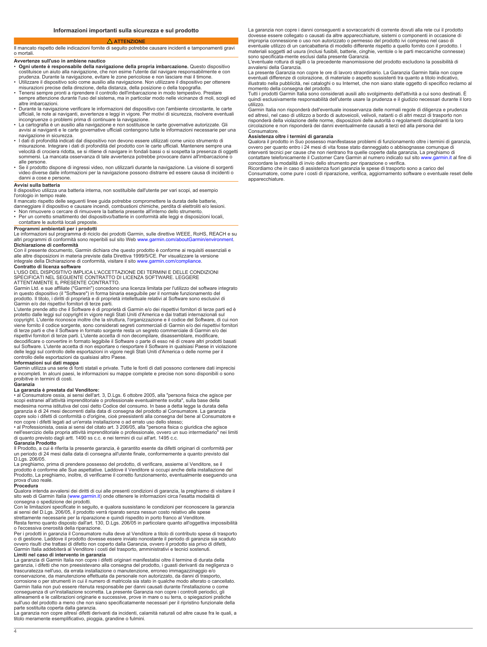#### **ATTENZIONE**

<span id="page-3-0"></span>Il mancato rispetto delle indicazioni fornite di seguito potrebbe causare incidenti e tamponamenti gravi o mortali.

# **Avvertenze sull'uso in ambiene nautico**

- **Ogni utente è responsabile della navigazione propria imbarcazione.** Questo dispositivo costituisce un aiuto alla navigazione, che non esime l'utente dal navigare responsabilmente e con prudenza. Durante la navigazione, evitare le zone pericolose e non lasciare mai il timone.
- Utilizzare il dispositivo solo come ausilio alla navigazione. Non utilizzare il dispositivo per ottenere misurazioni precise della direzione, della distanza, d<br>Fenersi sempre pronti a riprendere il controllo dell'in
- sempre attenzione durante l'uso del sistema, ma in particolar modo nelle vicinanze di moli, scogli ed altre imbarcazioni.
- Durante la navigazione verificare le informazioni del dispositivo con l'ambiente circostante, le carte ufficiali, le note ai naviganti, avvertenze e leggi in vigore. Per motivi di sicurezza, risolvere eventuali incongruenze o problemi prima di continuare la navigazione.
- La cartografia è un ausilio alla navigazione e non sostituisce le carte governative autorizzate. Gli avvisi ai naviganti e le carte governative ufficiali contengono tutte le informazioni necessarie per una navigazione in sicurezza.
- I dati di profondità indicati dal dispositivo non devono essere utilizzati come unico strumento di misurazione. Integrare i dati di profondità del prodotto con le carte ufficiali. Mantenere sempre una velocità di crociera ridotta, se si ritiene di navigare in fondali bassi o si sospetta la presenza di oggetti sommersi. La mancata osservanza di tale avvertenza potrebbe provocare danni all'imbarcazione o alle persone.
- De il prodotto dispone di ingressi video, non utilizzarli durante la navigazione. La visione di sorgenti و video<br>video diverse dalle informazioni per la navigazione possono distrarre ed essere causa di incidenti o danni a cose e persone.

#### **Avvisi sulla batteria**

Il dispositivo utilizza una batteria interna, non sostituibile dall'utente per vari scopi, ad esempio l'orologio in tempo reale.

- Il mancato rispetto delle seguenti linee guida potrebbe compromettere la durata delle batterie,<br>danneggiare il dispositivo e causare incendi, combustioni chimiche, perdita di elettroliti e/o lesi<br>• Non rimuovere o cercare
- Per un corretto smaltimento del dispositivo/batterie in conformità alle leggi e disposizioni locali, contattare le autorità locali preposte.
- 

**Programmi ambientali per i prodotti** Le informazioni sul programma di riciclo dei prodotti Garmin, sulle direttive WEEE, RoHS, REACH e su<br>altri programmi di conformità sono reperibili sul sito Web [www.garmin.com/aboutGarmin/environment](http://www.garmin.com/aboutGarmin/environment).

**Dichiarazione di conformità** Con il presente documento, Garmin dichiara che questo prodotto è conforme ai requisiti essenziali e alle altre disposizioni in materia previste dalla Direttiva 1999/5/CE. Per visualizzare la v<br>integrale della Dichiarazione di conformità, visitare il sito [www.garmin.com/compliance.](http://www.garmin.com/compliance)

**Contratto di licenza software**<br>L'USO DEL DISPOSITIVO IMPLICA L'ACCETTAZIONE DEI TERMINI E DELLE CONDIZIONI<br>SPECIFICATI NEL SEGUENTE CONTRATTO DI LICENZA SOFTWARE. LEGGERE ATTENTAMENTE IL PRESENTE CONTRATTO.

Garmin Ltd. e sue affiliate ("Garmin") concedono una licenza limitata per l'utilizzo del software integrato<br>in questo dispositivo (il "Software") in forma binaria eseguibile per il normale funzionamento del

prodotto. Il titolo, i diritti di proprietà e di proprietà intellettuale relativi al Software sono esclusivi di<br>Garmin e/o dei rispettivi fornitori di terze parti.<br>L'utente prende atto che il Software è di proprietà di Gar protetto dalle leggi sul copyright in vigore negli Stati Uniti d'America e dai trattati internazionali sul copyright. L'utente riconosce inoltre che la struttura, l'organizzazione e il codice del Software, di cui non<br>viene fornito il codice sorgente, sono considerati segreti commerciali di Garmin e/o dei rispettivi fornitori<br>di rispettivi fornitori di terze parti. L'utente accetta di non decompilare, disassemblare, modificare,<br>decodificare o convertire in formato leggibile il Software o parte di esso né di creare altri prodotti basati

sul Software. L'utente accetta di non esportare o riesportare il Software in qualsiasi Paese in violazione delle leggi sul controllo delle esportazioni in vigore negli Stati Uniti d'America o delle norme per il controllo delle esportazioni da qualsiasi altro Paese.

**Informazioni sui dati mappa**<br>Garmin utilizza una serie di fo e incompleti. In alcuni paesi, le informazioni su mappe complete precise non sono disponibili o sono proibitive in termini di costi. **Garanzia**

**La garanzia è prestata dal Venditore:**<br>• al Consumatore ossia, ai sensi dell'art scopi estranei all'attività imprenditoriale o professionale eventualmente svolta", sulla base della<br>medesima norma istitutiva del così detto Codice del consumo. In base a detta legge la durata della<br>garanzia è di 24 mesi d non copre i difetti legati ad un'errata installazione o ad errato uso dello stesso;<br>• al Professionista, ossia ai sensi del citato art. 3 206/05, alla "persona fisica o

nell'esercizio della propria attività imprenditoriale o professionale, ovvero un suo intermediario" nei limiti di quanto previsto dagli artt. 1490 ss c.c. e nei termini cui all'art. 1495 c.c. **Garanzia Prodotto**

Il Prodotto, a cui è riferita la presente garanzia, è garantito esente da difetti originari di conformità per un periodo di 24 mesi dalla data di consegna all'utente finale, conformemente a quanto previsto dal D.Lgs. 206/05.

La preghiamo, prima di prendere possesso del prodotto, di verificare, assieme al Venditore, se il prodotto è conforme alle Sue aspettative. Laddove il Venditore si occupi anche della installazione del Prodotto, La preghiamo, inoltre, di verificarne il corretto funzionamento, eventualmente eseguendo una prova d'uso reale.

#### **Procedura**

Qualora intenda avvalersi dei diritti di cui alle presenti condizioni di garanzia, la preghiamo di visitare il sito web di Garmin Italia ([www.garmin.it](http://www.garmin.it)) onde ottenere le informazioni circa l'esatta modalità di<br>consegna o spedizione dei prodotti.<br>Con le limitazioni specificate in seguito, e qualora sussistano le condizioni per ricon

ai sensi del D.Lgs. 206/05, il prodotto verrà riparato senza nessun costo relativo a<br>strettamente necessarie per la riparazione e quindi rispedito in porto franco al Veı<br>Resta fermo quanto disposto dall'art. 130, D.Lgs. 20

o l'eccessiva onerosità della riparazione. Per i prodotti in garanzia il Consumatore nulla deve al Venditore a titolo di contributo spese di trasporto o di gestione. Laddove il prodotto dovesse essere inviato nonostante il periodo di garanzia sia scad<br>ovvero risulti che trattasi di difetto non coperto dalla Garanzia, ovvero il prodotto sia privo di difetti, Garmin Italia addebiterà al Venditore i costi del trasporto, amministrativi e tecnici sostenuti.

**Limiti nel caso di intervento in garanzia** La garanzia di Garmin Italia non copre i difetti originari manifestatisi oltre il termine di durata della garanzia, i difetti che non preesistevano alla consegna del prodotto, i guasti derivanti da negligenza o trascuratezza nell'uso, da errata installazione o manutenzione, erroneo immagazzinaggio e/o conservazione, da manutenzione effettuata da personale non autorizzato, da danni di trasporto, corrosione o per strumenti in cui il numero di matricola sia stato in qualche modo alterato o cancella<br>Garmin Italia non può essere ritenuta responsabile per danni causati durante l'installazione o come conseguenza di un'installazione scorretta. La presente Garanzia non copre i controlli periodici, gli allineamenti e le calibrazioni originarie e successive, prove in mare o su terra, o spiegazioni pratiche sull'uso del prodotto a meno che non siano specificatamente necessari per il ripristino funzionale della parte sostituita coperta dalla garanzia.

La garanzia non copre altresì difetti derivanti da incidenti, calamità naturali od altre cause fra le quali, a titolo meramente esemplificativo, pioggia, grandine o fulmini.

La garanzia non copre i danni conseguenti a sovraccarichi di corrente dovuti alla rete cui il prodotto dovesse essere collegato o causati da altre apparecchiature, sistemi o componenti in occasione di impropria connessione o uso non autorizzato o permesso del prodotto ivi compreso nel caso di eventuale utilizzo di un caricabatteria di modello differente rispetto a quello fornito con il prodotto. I materiali soggetti ad usura (inclusi fusibili, batterie, cinghie, ventole o le parti meccaniche connesse) sono specificata-mente esclusi dalla presente Garanzia.

L'eventuale rottura di sigilli o la precedente manomissione del prodotto escludono la possibilità di avvalersi della Garanzia.

La presente Garanzia non copre le ore di lavoro straordinario. La Garanzia Garmin Italia non copre eventuali differenze di colorazione, di materiale o aspetto sussistenti tra quanto a titolo indicativo, illustrato nella pubblicità, nei cataloghi o su Internet, che non siano state oggetto di specifico reclamo al momento della consegna del prodotto.

Tutti i prodotti Garmin Italia sono considerati ausili allo svolgimento dell'attività a cui sono destinati. È quindi esclusivamente responsabilità dell'utente usare la prudenza e il giudizio necessari durante il loro utilizzo.

Garmin Italia non risponderà dell'eventuale inosservanza delle normali regole di diligenza e prudenza ed altresì, nel caso di utilizzo a bordo di autoveicoli, velivoli, natanti o di altri mezzi di trasporto non risponderà della violazione delle norme, disposizioni delle autorità o regolamenti disciplinanti la loro circolazione e non risponderà dei danni eventualmente causati a terzi ed alla persona del

# Consumatore. **Assistenza oltre i termini di garanzia**

Qualora il prodotto in Suo possesso manifestasse problemi di funzionamento oltre i termini di garanzia,<br>ovvero per quanto entro i 24 mesi di vita fosse stato danneggiato o abbisognasse comunque di<br>interventi tecnici per ca

concordare la modalità di invio dello strumento per riparazione o verifica. Ricordiamo che in caso di assistenza fuori garanzia le spese di trasporto sono a carico del Consumatore, come pure i costi di riparazione, verifica, aggiornamento software o eventuale reset delle apparecchiature.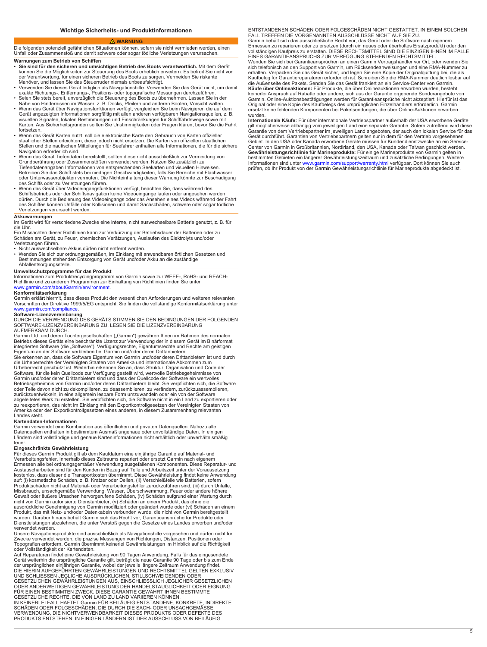# **WARNUNG**

<span id="page-4-0"></span>Die folgenden potenziell gefährlichen Situationen können, sofern sie nicht vermieden werden, einen Unfall oder Zusammenstoß und damit schwere oder sogar tödliche Verletzungen verursachen. **Warnungen zum Betrieb von Schiffen**

- Sie sind für den sicheren und umsichtigen Betrieb des Boots verantwortlich. Mit dem Gerät<br>können Sie die Möglichkeiten zur Steuerung des Boots erheblich erweitern. Es befreit Sie nicht vo<br>der Verantwortung, für einen sic
- Ver
- Se<br>Nä
- Wenn das Gerät über Navigationsfunktionen verfügt, vergleichen Sie beim Navigieren die auf dem Gerät angezeigten Informationen sorgfältig mit allen anderen verfügbaren Navigationsquellen, z. B. visuellen Signalen, lokalen Bestimmungen und Einschränkungen für Schifffahrtswege sowie mit<br>Karten. Aus Sicherheitsgründen sollten Sie Unstimmigkeiten oder Fragen klären, bevor Sie die F fortsetzen.
- Wenn das Gerät Karten nutzt, soll die elektronische Karte den Gebrauch von Karten offizielle staatlicher Stellen erleichtern, diese jedoch nicht ersetzen. Die Karten von offiziellen staatlichen Stellen und die nautischen Mitteilungen für Seefahrer enthalten alle Informationen, die für die sichere Navigation erforderlich sind.
- Wenn das Gerät Tiefendaten bereitstellt, sollten diese nicht ausschließlich zur Vermeidung von Grundberührung oder Zusammenstößen verwendet werden. Nutzen Sie zusätzlich zu Tiefendatenangaben Informationen von entsprechenden Seekarten und visuellen Hinweisen. Betreiben Sie das Schiff stets bei niedrigen Geschwindigkeiten, falls Sie Bereiche mit Flachwasser<br>oder Unterwasserobjekten vermuten. Die Nichteinhaltung dieser Warnung könnte zur Beschädigun des Schiffs oder zu Verletzungen führen.
- Wenn das Gerät über Videoeingangsfunktionen verfügt, beachten Sie, dass während des<br>Schiffsbetriebs oder der Schiffsnavigation keine Videoeingänge laufen oder angesehen werden<br>dürfen. Durch die Bedienung des Videoeingang Verletzungen verursacht werden.

**Akkuwarnungen**<br>Im Gerät wird für die Uhr.

- Ein Missachten dieser Richtlinien kann zur Verkürzung der Betriebsdauer der Batterien oder zu Schäden am Gerät, zu Feuer, chemischen Verätzungen, Auslaufen des Elektrolyts und/oder Verletzungen führen.
- 
- Nicht auswechselbare Akkus dürfen nicht entfernt werden.<br>• Wenden Sie sich zur ordnungsgemäßen, im Einklang mit anwendbaren örtlichen Gesetzen und<br>• Bestimmungen stehenden Entsorgung von Gerät und/oder Akku an die zustän Abfallentsorgungsstelle.

# **Umweltschutzprogramme für das Produkt**

Informationen zum Produktrecyclingprogramm von Garmin sowie zur WEEE-, RoHS- und REACHRichtlinie und zu anderen Programmen zur Einhaltung von Richtlinien finden Sie unter<br>[www.garmin.com/aboutGarmin/environment](http://www.garmin.com/aboutGarmin/environment).

**Konformitätserklärung**<br>Garmin erklärt hiermit, dass dieses Produkt den wesentlichen Anforderungen und weiteren relevanten Vorschriften der Direktive 1999/5/EG entspricht. Sie finden die vollständige Konformitätserklärung unter [www.garmin.com/compliance](http://www.garmin.com/compliance).

**Software-Lizenzvereinbarung**<br>DURCH DIE VERWENDUNG DES GERÄTS STIMMEN SIE DEN BEDINGUNGEN DER FOLGENDEN<br>SOFTWARE-LIZENZVEREINBARUNG ZU. LESEN SIE DIE LIZENZVEREINBARUNG AUFMERKSAM DURCH.

Garmin Ltd. und deren Tochtergesellschaften ("Garmin") gewähren Ihnen im Rahmen des normalen<br>Betriebs dieses Geräts eine beschränkte Lizenz zur Verwendung der in diesem Gerät im Binärformat integrierten Software (die "Software"). Verfügungsrechte, Eigentumsrechte und Rechte am geistigen<br>Eigentum an der Software verbleiben bei Garmin und/oder deren Drittanbietern.<br>Sie erkennen an, dass die Software Eigentum vo Urheberrecht geschützt ist. Weiterhin erkennen Sie an, dass Struktur, Organisation und Code de<br>Software, für die kein Quellcode zur Verfügung gestellt wird, wertvolle Betriebsgeheimnisse von<br>Garmin und/oder deren Drittanbi Betriebsgeheimnis von Garmin und/oder deren Drittanbietern bleibt. Sie verpflichten sich, die Software oder Teile davon nicht zu dekompilieren, zu deassemblieren, zu verändern, zurückzuassemblieren, zurückzuentwickeln, in eine allgemein lesbare Form umzuwandeln oder ein von der Software abgeleitetes Werk zu erstellen. Sie verpflichten sich, die Software nicht in ein Land zu exportieren oder zu reexportieren, das nicht im Einklang mit den Exportkontrollgesetzen der Vereinigten Staaten von Amerika oder den Exportkontrollgesetzen eines anderen, in diesem Zusammenhang relevanten

#### Landes steht. **Kartendaten-Informationen**

Garmin verwendet eine Kombination aus öffentlichen und privaten Datenquellen. Nahezu alle Datenquellen enthalten in bestimmtem Ausmaß ungenaue oder unvollständige Daten. In einigen Ländern sind vollständige und genaue Karteninformationen nicht erhältlich oder unverhältnismäßig teuer.

#### **Eingeschränkte Gewährleistung**

Für dieses Garmin Produkt gilt ab dem Kaufdatum eine einjährige Garantie auf Material- und<br>Verarbeitungsfehler. Innerhalb dieses Zeitraums repariert oder ersetzt Garmin nach eigenem<br>Ermessen alle bei ordnungsgemäßer Verwen Austauscharbeiten sind für den Kunden in Bezug auf Teile und Arbeitszeit unter der Voraussetzung kostenlos, dass dieser die Transportkosten übernimmt. Diese Gewährleistung findet keine Anwendung auf: (i) kosmetische Schäden, z. B. Kratzer oder Dellen, (ii) Verschleißteile wie Batterien, sofern<br>Produktschäden nicht auf Material- oder Verarbeitungsfehler zurückzuführen sind, (iii) durch Unfäll<br>Missbrauch, unsachgemä nicht von Garmin autorisierte Dienstanbieter, (v) Schäden an einem Produkt, das ohne die ausdrückliche Genehmigung von Garmin modifiziert oder geändert wurde oder (vi) Schäden an einem Produkt, das mit Netz- und/oder Datenkabeln verbunden wurde, die nicht von Garmin bereitgestellt wurden. Darüber hinaus behält Garmin sich das Recht vor, Garantieansprüche für Produkte oder Dienstleistungen abzulehnen, die unter Verstoß gegen die Gesetze eines Landes erworben und/oder verwendet werden.

Unsere Navigationsprodukte sind ausschließlich als Navigationshilfe vorgesehen und dürfen nicht für<br>Zwecke verwendet werden, die präzise Messungen von Richtungen, Distanzen, Positionen oder<br>Topografien erfordern. Garmin üb oder Vollständigkeit der Kartendaten.

Auf Reparaturen findet eine Gewährleistung von 90 Tagen Anwendung. Falls für das eingesendete<br>Gerät weiterhin die ursprüngliche Garantie gilt, beträgt die neue Garantie 90 Tage oder bis zum Ende<br>der ursprünglichen einjähri GESETZLICHEN GEWÄHRLEISTUNGEN AUS, EINSCHLIESSLICH JEGLICHER GESETZLICHEN<br>ODER ANDERWEITIGEN GEWÄHRLEISTUNG DER HANDELSTAUGLICHKEIT ODER EIGNUNG<br>FÜR EINEN BESTIMMTEN ZWECK. DIESE GARANTIE GEWÄHRT IHNEN BESTIMMTE

GESETZLICHE RECHTE, DIE VON LAND ZU LAND VARIIEREN KÖNNEN. IN KEINERLEI FALL HAFTET Garmin FÜR BEILÄUFIG ENTSTANDENE, KONKRETE, INDIREKTE<br>SCHÄDEN ODER FOLGESCHÄDEN, DIE DURCH DIE SACH- ODER UNSACHGEMÄSSE<br>VERWENDUNG, DIE NICHTVERWENDBARKEIT DIESES PRODUKTS ODER DEFEKTE DES

PRODUKTS ENTSTEHEN. IN EINIGEN LÄNDERN IST DER AUSSCHLUSS VON BEILÄUFIG

ENTSTANDENEN SCHÄDEN ODER FOLGESCHÄDEN NICHT GESTATTET. IN EINEM SOLCHEN FALL TREFFEN DIE VORGENANNTEN AUSSCHLÜSSE NICHT AUF SIE ZU.

Garmin behält sich das ausschließliche Recht vor, das Gerät oder die Software nach eigenem Ermessen zu reparieren oder zu ersetzen (durch ein neues oder überholtes Ersatzprodukt) oder den vo<br>E Wenden Sie sich bei Garantieansprüchen an einen Garmin Vertragshändler vor Ort, oder wenden Sie<br>sich telefonisch an den Support von Garmin, um Rücksendeanweisungen und eine RMA-Nummer zu<br>erhalten. Verpacken Sie das Gerät s die Außenseite des Pakets. Senden Sie das Gerät frankiert an ein Service-Center von Garmin. **Käufe über Onlineaktionen:** Für Produkte, die über Onlineauktionen erworben wurden, besteht keinerlei Anspruch auf Rabatte oder andere, sich aus der Garantie ergebende Sonderangebote von Garmin. Online-Auktionsbestätigungen werden für Garantieansprüche nicht akzeptiert. Hierfür ist<br>Original oder eine Kopie des Kaufbelegs des ursprünglichen Einzelhändlers erforderlich. Garmin

ersetzt keine fehlenden Komponenten bei Paketsendungen, die über Online-Auktionen erworben wurden. **Internationale Käufe:** Für über internationale Vertriebspartner außerhalb der USA erworbene Geräte

gilt möglicherweise abhängig vom jeweiligen Land eine separate Garantie. Sofern zutreffend wird diese<br>Garantie von dem Vertriebspartner im jeweiligen Land angeboten, der auch den lokalen Service für das<br>Gerät durchführt. G Gebiet. In den USA oder Kanada erworbene Geräte müssen für Kundendienstzwecke an ein Servi<br>Center von Garmin in Großbritannien, Nordirland, den USA, Kanada oder Taiwan geschickt werder<br>**Gewährleistungsrichtlinie für Marine** Informationen sind unter [www.garmin.com/support/warranty.html](http://www.garmin.com/support/warranty.html) verfügbar.<br>Prüfen, ob Ihr Produkt von der Garmin Gewährleistungsrichtlinie für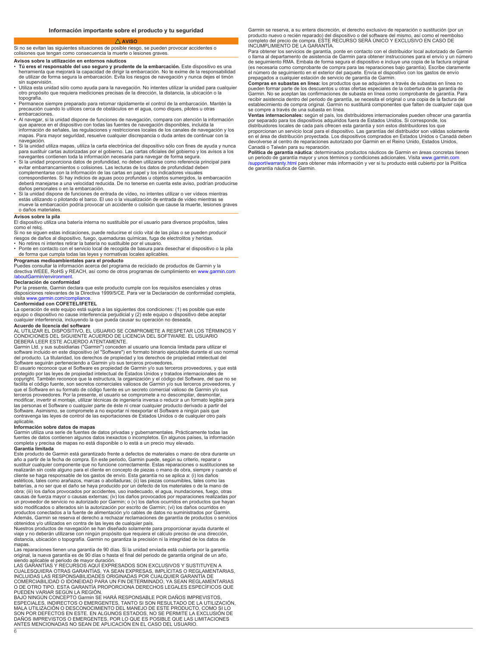#### **AVISO**

<span id="page-5-0"></span>Si no se evitan las siguientes situaciones de posible riesgo, se pueden provocar accidentes o colisiones que tengan como consecuencia la muerte o lesiones graves.

# **Avisos sobre la utilización en entornos náuticos**

- Tú eres el responsable del uso seguro y prudente de la embarcación. Este dispositivo es una<br>herramienta que mejorará la capacidad de dirigir la embarcación. No te exime de la responsabilida<br>de utilizar de forma segura la sin supervisión.
- Utiliza esta unidad sólo como ayuda para la navegación. No intentes utilizar cualquier otro propósito que requiera mediciones precisas de la dirección, la distancia, la ubicación o la topografía.
- Permanece siempre preparado para retomar rápidamente el control de la embarcación. Mantén la precaución cuando lo utilices cerca de obstáculos en el agua, como diques, pilotes u otras embarcaciones.
- Al navegar, si la unidad dispone de funciones de navegación, compara con atención la información que aparece en el dispositivo con todas las fuentes de navegación disponibles, incluida la información de señales, las regulaciones y restricciones locales de los canales de navegación y los mapas. Para mayor seguridad, resuelve cualquier discrepancia o duda antes de continuar con la navegación.
- Si la unidad utiliza mapas, utiliza la carta electrónica del dispositivo sólo con fines de ayuda y nunca<br>para sustituir cartas autorizadas por el gobierno. Las cartas oficiales del gobierno y los avisos a los<br>navegantes co
- evitar embarrancamientos o colisiones. Las lecturas de los datos de profundidad deb<br>complementarse con la información de las cartas en papel y los indicadores visuales<br>correspondientes. Si hay indicios de aguas poco profun
- daños personales o en la embarcación. Si la unidad dispone de funciones de entrada de vídeo, no intentes utilizar o ver vídeos mientras estás utilizando o pilotando el barco. El uso o la visualización de entrada de vídeo mientras se mueve la embarcación podría provocar un accidente o colisión que cause la muerte, lesiones graves o daños materiales.

**Avisos sobre la pila** El dispositivo utiliza una batería interna no sustituible por el usuario para diversos propósitos, tales como el reloj.

Si no se siguen estas indicaciones, puede reducirse el ciclo vital de las pilas o se pueden producir

- ries<br>• N
- Ponte en contacto con el servicio local de recogida de basura para desechar el dispositivo o la pila de forma que cumpla todas las leyes y normativas locales aplicables.

# **Programas medioambientales para el producto**

Puedes consultar la información acerca del programa de reciclado de productos de Garmin y la<br>directiva WEEE, RoHS y REACH, así como de otros programas de cumplimiento en [www.garmin.com](http://www.garmin.com/aboutGarmin/environment) [/aboutGarmin/environment](http://www.garmin.com/aboutGarmin/environment).

# **Declaración de conformidad**

Por la presente, Garmin declara que este producto cumple con los requisitos esenciales y otras disposiciones relevantes de la Directiva 1999/5/CE. Para ver Declaración conformidad completa, visita [www.garmin.com/compliance](http://www.garmin.com/compliance).

# **Conformidad con COFETEL/IFETEL**

La operación de este equipo está sujeta a las siguientes dos condiciones: (1) es posible que este equipo o dispositivo no cause interferencia perjudicial y (2) este equipo o dispositivo debe aceptar cualquier interferencia, incluyendo la que pueda causar su operación no deseada.

# **Acuerdo de licencia del software**

AL UTILIZAR EL DISPOSITIVO, EL USUARIO SE COMPROMETE A RESPETAR LOS TÉRMINOS Y CONDICIONES DEL SIGUIENTE ACUERDO DE LICENCIA SOFTWARE. EL USUARIO DEBERÁ LEER ESTE ACUERDO ATENTAMENTE.

Garmin Ltd. y sus subsidiarias ("Garmin") conceden al usuario una licencia limitada para utilizar el software incluido en este dispositivo (el "Software") en formato binario ejecutable durante el uso normal del producto. La titularidad, los derechos de propiedad y intelectual del

Software seguirán perteneciendo a Garmin y/o sus terceros proveedores.<br>El usuario reconoce que el Software es propiedad de Garmin y/o sus terceros proveedores, y que está<br>protegido por las leyes de propiedad intelectual de copyright. También reconoce que la estructura, la organización y el código del Software, del que no se<br>facilita el código fuente, son secretos comerciales valiosos de Garmin y/o sus terceros proveedores, y que el Software en su formato de código fuente es un secreto comercial valioso de Garmin y/o sus terceros proveedores. Por la presente, el usuario se compromete a no descompilar, desmontar, modificar, invertir el montaje, utilizar técnicas de ingeniería inversa o reducir a un formato legible para las personas el Software o cualquier parte de éste ni crear cualquier producto derivado a partir del Software. Asimismo, se compromete a no exportar ni reexportar el Software a ningún país que<br>contravenga las leyes de control de las exportaciones de Estados Unidos o de cualquier otro país aplicable.

# **Información sobre datos de mapas**

Garmin ut<br>fuentes de completa y precisa de mapas no está disponible o lo está a un precio muy elevado.

# **Garantía limitada**

6

Este producto de Garmin está garantizado frente a defectos de materiales o mano de obra durante un año a partir de la fecha compra. En este periodo, Garmin puede, según su criterio, reparar o sustituir cualquier componente que no funcione correctamente. Estas reparaciones o sustituciones se realizarán sin coste alguno para el cliente en concepto de piezas o mano de obra, siempre y cuando el cliente se haga responsable de los gastos de envío. Esta garantía no se aplica a: (i) los daños<br>estéticos, tales como arañazos, marcas o abolladuras; (ii) las piezas consumibles, tales como las<br>baterías, a no ser que el da obra; (iii) los daños provocados por accidentes, uso inadecuado, el agua, inundaciones, fuego, otras causas de fuerza mayor o causas externas; (iv) los daños provocados por reparaciones realizadas por<br>un proveedor de servicio no autorizado por Garmin; o (v) los daños ocurridos en productos que hayan<br>sido modificados o alt productos conectados a la fuente de alimentación y/o cables de datos no suministrados por Garmin. Además, Garmin se reserva el derecho a rechazar reclamaciones de garantía de productos o servicios

obtenidos y/o utilizados en contra de las leyes de cualquier país.<br>Nuestros productos de navegación se han diseñado solamente para proporcionar ayuda durante el<br>viaje y no deberán utilizarse con ningún propósito que requie manas

mapas.<br>Las reparaciones tienen una garantía de 90 días. Si la unidad enviada está cubierta por la garantía original, la nueva garantía es de 90 días o hasta el final del periodo de garantía original de un año,

siendo aplicable el periodo de mayor duración. LAS GARANTÍAS Y RECURSOS AQUÍ EXPRESADOS SON EXCLUSIVOS Y SUSTITUYEN A CUALESQUIERA OTRAS GARANTÍAS, YA SEAN EXPRESAS, IMPLÍCITAS O REGLAMENTARIAS,<br>INCLUIDAS LAS RESPONSABILIDADES ORIGINADAS POR CUALQUIER GARANTÍA DE<br>COMERCIABILIDAD O IDONEIDAD PARA UN FIN DETERMINADO, YA SEAN REGLAMENTARIAS<br>

PUEDEN VARIAR SEGÚN LA REGIÓN.<br>BAJO NINGÚN CONCEPTO Garmin SE HARÁ RESPONSABLE POR DAÑOS IMPREVISTOS,<br>ESPECIALES, INDIRECTOS O EMERGENTES, TANTO SI SON RESULTADO DE LA UTILIZACIÓN, MALA UTILIZACIÓN O DESCONOCIMIENTO DEL MANEJO DE ESTE PRODUCTO, COMO SI LO SON POR DEFECTOS EN ESTE. ALGUNOS ESTADOS, NO SE PERMITE LA EXCLUSIÓN DE DAÑOS IMPREVISTOS O EMERGENTES, POR LO QUE ES POSIBLE QUE LAS LIMITACIONES ANTES MENCIONADAS NO SEAN DE APLICACIÓN EN EL CASO DEL USUARIO.

Garmin se reserva, a su entera discreción, el derecho exclusivo de reparación o sustitución (por un producto nuevo o recién reparado) del dispositivo o del software del mismo, así como el reembolso<br>completo del precio de compra. ESTE RECURSO SERÁ ÚNICO Y EXCLUSIVO EN CASO DE<br>INCUMPLIMIENTO DE LA GARANTÍA.

Para obtener los servicios de garantía, ponte en contacto con el distribuidor local autorizado de Garmin o llama al departamento de asistencia de Garmin para obtener instrucciones para el envío y un número de seguimiento RMA. Embala forma segura el dispositivo e incluye una copia la factura original (es necesaria como comprobante de compra para las reparaciones bajo garantía). Escribe claramente el número de seguimiento en el exterior del paquete. Envía el dispos<br>prepagados a cualquier estación de servicio de garantía de Garmin.

**Compras en subastas en línea:** los productos que se adquieren a través de subastas en línea no pueden formar parte de los descuentos u otras ofertas especiales de la cobertura de la garantía de Garmin. No se aceptan las confirmaciones de subasta en línea como comprobante de garantía. Para<br>recibir asistencia dentro del periodo de garantía, se necesita el original o una copia de la factura del establecimiento de compra original. Garmin no sustituirá componentes que falten de cualquier caja que se compre a través de una subasta en línea.

**Ventas internacionales:** según el país, los distribuidores internacionales pueden ofrecer una garantía<br>por separado para los dispositivos adquiridos fuera de Estados Unidos. Si corresponde, los distribuidores locales de cada país ofrecen esta garantía y son estos distribuidores los que pr<br>er devolverse al centro de reparaciones autorizado por Garmin en el Reino Unido, Estados Unidos,

Canadá o Taiwán para su reparación. **Política de garantía náutica**: determinados productos náuticos de Garmin en áreas concretas tienen<br>un periodo de garantía mayor y unos términos y condiciones adicionales. Visita [www.garmin.com](http://www.garmin.com/support/warranty.html) [/support/warranty.html](http://www.garmin.com/support/warranty.html) para obtener más información y ver si tu producto está cubierto por la Política<br>de garantía náutica de Garmin.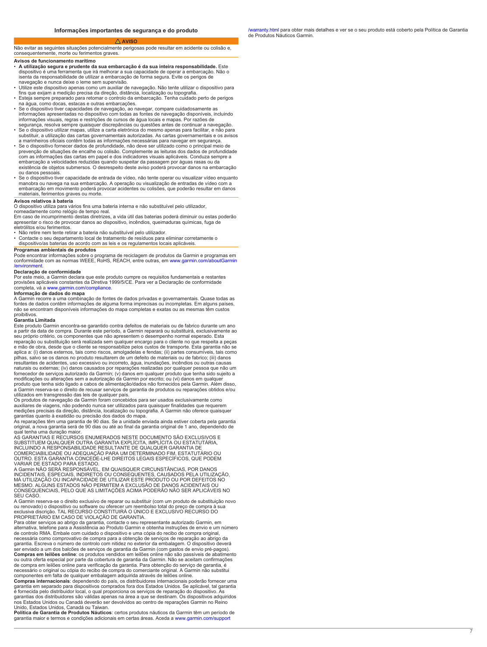#### **AVISO**

<span id="page-6-0"></span>Não evitar as seguintes situações potencialmente perigosas pode resultar em acidente ou colisão e, consequentemente, morte ou ferimentos graves.

### **Avisos de funcionamento marítimo**

- A utilização segura e prudente da sua embarcação é da sua inteira responsabilidade. Este dispositivo é uma ferramenta que irá melhorar a sua capacidade de operar embarcação. Não o isenta da responsabilidade de utilizar a embarcação de forma segura. Evite os perigos de navegação e nunca deixe o leme sem supervisão.
- U<br>fir
- E<br>na
- Se o dispositivo tiver capacidades de navegação, ao navegar, compare cuidadosamente as informações apresentadas no dispositivo com todas as fontes de navegação disponíveis, incluindo informações visuais, regras e restrições de cursos de água locais e mapas. Por razões de
- segurança, resolva sempre quaisquer discrepâncias ou questões antes de continuar a navegação. Se o dispositivo utilizar mapas, utilize a carta eletrónica do mesmo apenas para facilitar, e não para substituir, a utilização das cartas governamentais autorizadas. As cartas governamentais e os avisos
- a marinheiros oficiais contêm todas as informações necessárias para navegar em segurança.<br>• Se o dispositivo fornecer dados de profundidade, não deve ser utilizado como o principal meio de<br>prevenção de situações de encalhe com as informações das cartas em papel e dos indicadores visuais aplicáveis. Conduza sem<br>embarcação a velocidades reduzidas quando suspeitar da passagem por águas rasas ou da existência de objetos submersos. O desrespeito deste aviso poderá provocar danos na embarcação
- ou danos pessoais. Se o dispositivo tiver capacidade de entrada de vídeo, não tente operar ou visualizar vídeo enquanto manobra ou navega na sua embarcação. A operação ou visualização de entradas de vídeo com a embarcação em movimento poderá provocar acidentes ou colisões, que poderão resultar em danos materiais, ferimentos graves ou morte.

#### **Avisos relativos à bateria**

O dispositivo utiliza para vários fins uma bateria interna e não substituível pelo utilizador, nomeadamente como relógio de tempo real.

Em caso de incumprimento destas diretrizes, a vida útil das baterias poderá diminuir ou estas poderão apresentar o risco de provocar danos ao dispositivo, incêndios, queimaduras químicas, fuga de eletrólitos e/ou ferimentos.

- 
- Não retire nem tente retirar a bateria não substituível pelo utilizador. Contacte o seu departamento local de tratamento de resíduos para eliminar corretamente o dispositivo/as baterias de acordo com as leis e os regulamentos locais aplicáveis.

# **Programas ambientais de produtos**

Pode encontrar informações sobre o programa de reciclagem de produtos da Garmin e programas em conformidade com as normas WEEE, RoHS, REACH, entre outras, em www.garmin.com [/environment.](http://www.garmin.com/aboutGarmin/environment)

# **Declaração de conformidade**

Por este meio, a Garmin declara que este produto cumpre os requisitos fundamentais e restantes provisões aplicáveis constantes da Diretiva 1999/5/CE. Para ver a Declaração de conformidade completa, vá a [www.garmin.com/compliance.](http://www.garmin.com/compliance)

# **Informação de dados do mapa**

A Garmin recorre a uma combinação de fontes dados privadas e governamentais. Quase todas as fontes de dados contêm informações de alguma forma imprecisas ou incompletas. Em alguns paíse<br>não se encontram disponíveis informações do mapa completas e exatas ou as mesmas têm custos proibitivos.

#### **Garantia Limitada**

Este produto Garmin encontra-se garantido contra defeitos de materiais ou de fabrico durante um ano a partir da data de compra. Durante este período, a Garmin reparará ou substituirá, exclusivamente ao<br>seu próprio critério, os componentes que não apresentem o desempenho normal esperado. Esta reparação ou substituição será realizada sem qualquer encargo para o cliente no que respeita a peças<br>e mão de obra, desde que o cliente se responsabilize pelos custos de transporte. Esta garantia não se<br>aplica a: (i) danos pilhas, salvo se os danos no produto resultarem de um defeito de materiais ou de fabrico; (iii) danos resultantes de acidentes, uso excessivo ou incorreto, água, inundações, incêndios ou outras causas<br>naturais ou externas; (iv) danos causados por reparações realizadas por qualquer pessoa que não um<br>fornecedor de serviços a modificações ou alterações sem a autorização da Garmin por escrito; ou (vi) danos em qualquer<br>produto que tenha sido ligado a cabos de alimentação/dados não fornecidos pela Garmin. Além <sub>'</sub> a Garmin reserva-se o direito de recusar serviços de garantia de produtos ou reparações obtidos e/ou<br>utilizados em transgressão das leis de qualquer país.<br>Os produtos de navegação da Garmin foram concebidos para ser usados

auxiliares de viagens, não podendo nunca ser utilizados para quaisquer finalidades que requerem medições precisas da direção, distância, localização ou topografia. A Garmin não oferece quaisquer garantias quanto à exatidão ou precisão dos dados do mapa.

As reparações têm uma garantia de 90 dias. Se a unidade enviada ainda estiver coberta pela garantia original, a nova garantia será de 90 dias ou até ao final da garantia original de 1 ano, dependendo de qual tenha uma duração maior.

AS GARANTIAS E RECURSOS ENUMERADOS NESTE DOCUMENTO SÃO EXCLUSIVOS E<br>SUBSTITUEM QUALQUER OUTRA GARANTIA EXPLÍCITA, IMPLÍCITA OU ESTATUTÁRIA,<br>INCLUINDO A RESPONSABILIDADE RESULTANTE DE QUALQUER GARANTIA DE<br>COMERCIABILIDADE O O<br>V

A Garmin NÃO SERÁ RESPONSÁVEL, EM QUAISQUER CIRCUNSTÂNCIAS, POR DANOS INCIDENTAIS, ESPECIAIS, INDIRETOS OU CONSEQUENTES, CAUSADOS PELA UTILIZAÇÃO, MÁ UTILIZAÇÃO OU INCAPACIDADE DE UTILIZAR ESTE PRODUTO OU POR DEFEITOS NO MESMO. ALGUNS ESTADOS NÃO PERMITEM A EXCLUSÃO DE DANOS ACIDENTAIS OU CONSEQUENCIAIS, PELO QUE AS LIMITAÇÕES ACIMA PODERÃO NÃO SER APLICÁVEIS NO SEU CASO.

A Garmin reserva-se o direito exclusivo de reparar ou substituir (com um produto de substituição novo ou renovado) o dispositivo ou software ou oferecer um reembolso total do preço de compra à sua<br>exclusiva discrição. TAL RECURSO CONSTITUIRÁ O ÚNICO E EXCLUSIVO RECURSO DO

PROPRIETÁRIO EM CASO DE VIOLAÇÃO DE GARANTIA.<br>Para obter serviços ao abrigo da garantia, contacte o seu representante autorizado Garmin, em<br>alternativa, telefone para a Assistência ao Produto Garmin e obtenha instruções de necessária como comprovativo de compra para a obtenção de serviços de reparação ao abrigo da<br>garantia. Escreva o número de controlo com nitidez no exterior da embalagem. O dispositivo deverá<br>ser enviado a um dos balcões de ou outra oferta especial por parte da cobertura de garantia da Garmin. I<br>de compra em leilões online para verificação da garantia. Para obtençã

necessário o original ou cópia do recibo de compra do comerciante original. A Garmin não substitui<br>componentes em falta de qualquer embalagem adquirida através de leilões online.<br>**Compras internacionais:** dependendo do paí é fornecida pelo distribuidor local, o qual proporciona os serviços de reparação do dispositivo. As<br>garantias dos distribuidores são válidas apenas na área a que se destinam. Os dispositivos adquiri<br>nos Estados Unidos ou C

Unido, Estados Unidos, Canadá ou Taiwan. **Política de Garantia de Produtos Náuticos**: certos produtos náuticos da Garmin têm um período de garantia maior e termos e condições adicionais em certas áreas. Aceda a [www.garmin.com/support](http://www.garmin.com/support/warranty.html)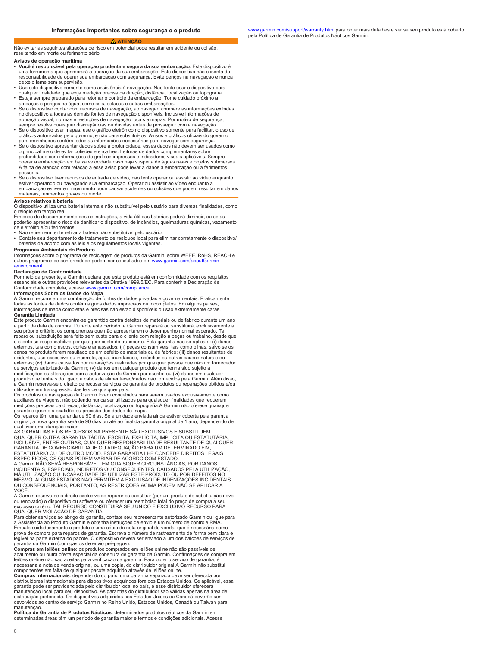#### **ATENÇÃO**

<span id="page-7-0"></span>Não evitar as seguintes situações de risco em potencial pode resultar em acidente ou colisão, resultando em morte ou ferimento sério.

### **Avisos de operação marítima**

- **Você é responsável pela operação prudente e segura da sua embarcação.** Este dispositivo é uma ferramenta que aprimorará a operação da sua embarcação. Este dispositivo não o isenta da responsabilidade de operar sua embarcação com segurança. Evite perigos na navegação e nunca deixe o leme sem supervisão.
- U<br>qu
- Esteja sempre preparado para retomar o controle da embarcação. Tome cuidado próximo a ameaças e perigos na água, como cais, estacas outras embarcações.
- Se o dispositivo contar com recursos de navegação, ao navegar, compare as informações exibidas no dispositivo a todas as demais fontes de navegação disponíveis, inclusive informações de ap<br>se
- Se o dispositivo usar mapas, use o gráfico eletrônico no dispositivo somente para facilitar, o uso de gráficos autorizados pelo governo, e não para substituí-los. Avisos oficiais do governo
- para marinheiros contêm todas as informações necessárias navegar com segurança. Se o dispositivo apresentar dados sobre a profundidade, esses dados não devem ser usados como o principal meio de evitar colisões e encalhes. Leituras dados complementares sobre pr<br>op A falha de atenção com relação a esse aviso pode levar a danos à embarcação ou a ferimentos
- pessoais.<br>• Se o dispositivo tiver recursos de entrada de vídeo, não tente operar ou assistir ao vídeo enquanto<br>• estiver operando ou navegando sua embarcação. Operar ou assistir ao vídeo enquanto a embarcação estiver em movimento pode causar acidentes ou colisões que podem resultar em danos materiais, ferimentos graves ou morte.

# **Avisos relativos à bateria**

O dispositivo utiliza uma bateria interna e não substituível pelo usuário para diversas finalidades, como o relógio em tempo real.

Em caso de descumprimento destas instruções, a vida útil das baterias poderá diminuir, ou estas poderão apresentar o risco de danificar o dispositivo, de incêndios, queimaduras químicas, vazamento de eletrólito e/ou ferimentos.

• Não retire nem tente retirar a bateria não substituível pelo usuário.

• Contate seu departamento de tratamento de resíduos local para eliminar corretamente o dispositivo/ baterias de acordo com as leis e os regulamentos locais vigentes.

# **Programas Ambientais do Produto**

Informações sobre o programa de reciclagem de produtos da Garmin, sobre WEEE, RoHS, REACH e outros programas de conformidade podem ser consultadas em www.garmin.com/ab /environm

#### **Declaração de Conformidade**

Por meio da presente, a Garmin declara que este produto está em conformidade com os requisitos essenciais e outras provisões relevantes da Diretiva 1999/5/EC. Para conferir a Declaração de Conformidade completa, acesse [www.garmin.com/compliance.](http://www.garmin.com/compliance)

# **Informações Sobre os Dados do Mapa**

A Garmin re<br>todas as for<br>informações

### **Garantia Limitada**

Este produto Garmin encontra-se garantido contra defeitos de materiais ou de fabrico durante um ano a partir da data de compra. Durante este período, Garmin reparará ou substituirá, exclusivamente a seu próprio critério, os componentes que não apresentarem o desempenho normal esperado. Tal reparo ou substituição será feito sem custo para o cliente com relação a peças ou trabalho, desde que o cliente se responsabilize por qualquer custo de transporte. Esta garantia não se aplica a: (i) danos<br>externos, tais como riscos, cortes e amassados; (ii) peças consumíveis, tais como pilhas, salvo se os<br>danos no produto acidentes, uso excessivo ou incorreto, água, inundações, incêndios ou outras causas naturais ou externas; (iv) danos causados por reparações realizadas por qualquer pessoa que não um fornecedor<br>de serviços autorizado da Garmin; (v) danos em qualquer produto que tenha sido sujeito a<br>modificações ou alterações sem a au produto que tenha sido ligado a cabos de alimentação/dados não fornecidos pela Garmin. Além disso, a Garmin reserva-se o direito de recusar serviços de garantia de produtos ou reparações obtidos e/ou utilizados em transgressão das leis de qualquer país.

Os produtos de navegação da Garmin foram concebidos para serem usados exclusivamente como auxiliares de viagens, não podendo nunca ser utilizados para quaisquer finalidades que requerem medições precisas da direção, distância, localização ou topografia.A Garmin não oferece quaisquer ga<br>O

original, a nova garantia será de 90 dias ou até ao final da garantia original de 1 ano, dependendo de

qual tiver uma duração maior. AS GARANTIAS E OS RECURSOS NA PRESENTE SÃO EXCLUSIVOS E SUBSTITUEM QUALQUER OUTRA GARANTIA TÁCITA, ESCRITA, EXPLÍCITA, IMPLÍCITA OU ESTATUTÁRIA,<br>INCLUSIVE, ENTRE OUTRAS, QUALQUER RESPONSABILIDADE RESULTANTE DE QUALQUER<br>GARANTIA DE COMERCIABILIDADE OU ADEQUAÇÃO PARA UM DETERMINADO FIM,<br>EST ESPECÍFICOS, OS QUAIS PODEM VARIAR DE ACORDO COM ESTADO. A Garmin NÃO SERÁ RESPONSÁVEL, EM QUAISQUER CIRCUNSTÂNCIAS, POR DANOS INCIDENTAIS, ESPECIAIS, INDIRETOS OU CONSEQUENTES, CAUSADOS PELA UTILIZAÇÃO, MÁ UTILIZAÇÃO OU INCAPACIDADE DE UTILIZAR ESTE PRODUTO OU POR DEFEITOS ÑO<br>MESMO. ALGUNS ESTADOS NÃO PERMITEM A EXCLUSÃO DE INDENIZAÇÕES INCIDENTA OU CONSEQUENCIAIS, PORTANTO, AS RESTRIÇÕES ACIMA PODEM NÃO SE APLICAR A

VOCÊ. A Garmin reserva-se o direito exclusivo de reparar ou substituir (por um produto de substituição novo ou renovado) o dispositivo ou software ou oferecer um reembolso total do preço de compra a seu e;<br>Q

Para obter serviços ao abrigo da garantia, contate seu representante autorizado Garmin ou ligue para a Assistência ao Produto Garmin e obtenha instruções de envio um número controle RMA. Embale cuidadosamente o produto e uma cópia da nota original de venda, que é necessária como<br>prova de compra para reparos de garantia. Escreva o número de rastreamento de forma bem clara

legível na parte externa do pacote. O dispositivo deverá ser enviado a um dos balcões de ser<br>garantia da Garmin (com gastos de envio pré-pagos).<br>**Compras em leilões onlin**e: os produtos comprados em leilões online não são leilões on-line não são aceitas para verificação da garantia. Para obter o serviço de garantia, é necessária a nota de venda original, ou uma cópia, do distribuidor original.A Garmin não substitui

componentes em falta de qualquer pacote adquirido através de leilões online.<br>**Compras Internacionais**: dependendo do país, uma garantia separada deve ser oferecida por<br>distribuidores internacionais para dispositivos adquir garantia pode ser providenciada pelo distribuidor local no país, e esse distribuidor oferecerá manutenção local para seu dispositivo. As garantias do distribuidor são válidas apenas na área de<br>distribuição pretendida. Os dispositivos adquiridos nos Estados Unidos ou Canadá deverão ser<br>devolvidos ao centro de serviço

manutenção. **Política de Garantia de Produtos Náuticos**: determinados produtos náuticos da Garmin em determinadas áreas têm um período de garantia maior e termos e condições adicionais. Acesse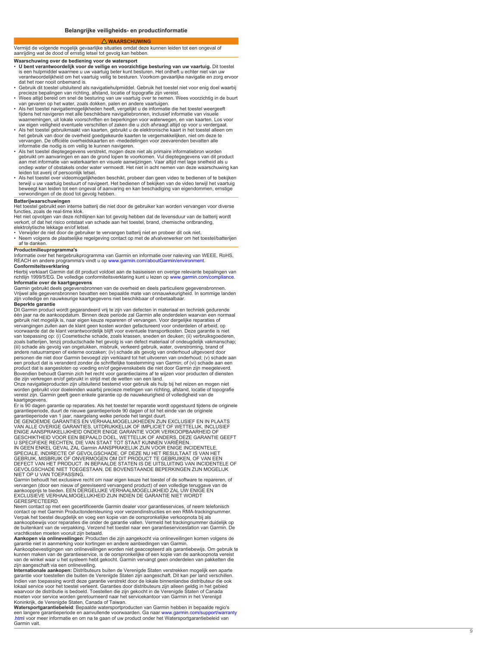#### **WAARSCHUWING**

<span id="page-8-0"></span>Vermijd de volgende mogelijk gevaarlijke situaties omdat deze kunnen leiden tot een ongeval of aanrijding wat de dood of ernstig letsel tot gevolg kan hebben.

# **Waarschuwing over de bediening voor de watersport**

- U bent verantwoordelijk voor de veilige en voorzichtige besturing van uw vaartuig. Dit toestel<br>is een hulpmiddel waarmee u uw vaartuig beter kunt besturen. Het ontheft u echter niet van uw<br>verantwoordelijkheid om het vaa dat het roer nooit onbemand is.
- Ger<br>• pr<br>• W
- van gevaren op het water, zoals dokken, palen en andere vaartuigen.
- Als het toestel navigatiemogelijkheden heeft, vergelijkt u de informatie die het toestel weergeeft tijdens het navigeren met alle beschikbare navigatiebronnen, inclusief informatie van visuele w<br>u
- Als het toestel gebruikmaakt van kaarten, gebruikt u de elektronische kaart in het toestel alleen om het gebruik van door de overheid goedgekeurde kaarten te vergemakkelijken, niet om deze te vervangen. De officiële overheidskaarten en -mededelingen voor zeevarenden bevatten alle<br>informatie die nodig is om veilig te kunnen navigeren.<br>• Als het toestel dieptegegevens verstrekt, mogen deze niet als primaire infor
- ge<br>aa ondiep water of obstakels onder vermoedt. Het niet in acht nemen van deze waarschuwing kan leiden tot averij of persoonlijk letsel.
- Als het toestel over videomogelijkheden beschikt, probeer dan geen video te bedienen of te bekijken terwijl u uw vaartuig bestuurt of navigeert. Het bedienen bekijken van de video het vaartuig beweegt kan leiden tot een ongeval of aanvaring en kan beschadiging van eigendommen, ernstige verwondingen of de dood tot gevolg hebben.

**Batterijwaarschuwingen**<br>Het toestel gebruikt een interne batterij die niet door de gebruiker kan worden vervangen voor diverse functies, zoals de real-time klok.

Het niet opvolgen van deze richtlijnen kan tot gevolg hebben dat de levensduur van de batterij wordt verkort, of dat het risico ontstaat van schade aan het toestel, brand, chemische ontbranding, elektrolytische lekkage en/of letsel.

• Verwijder de niet door de gebruiker te vervangen batterij niet en probeer dit ook niet.<br>• Neem volgens de plaatselijke regelgeving contact op met de afvalverwerker om het toestel/batterijen af te danken.

# **Productmilieuprogramma's**

Informatie over het hergebruikprogramma van Garmin en informatie over naleving van WEEE, RoHS, REACH en andere programma's vindt u op [www.garmin.com/aboutGarmin/environment.](http://www.garmin.com/aboutGarmin/environment)com/aboutGarmin/environment.com/

**Conformiteitsverklaring**<br>Hierbij verklaart Garmin dat dit product voldoet aan de basiseisen en overige relevante bepalingen van richtlijn 1999/5/EG. De volledige conformiteitsverklaring kunt u lezen op www.garmin.com/c<br>**Informatie over de kaartgegevens** .

Garmin g<br>Vrijwel all zijn volledige en nauwkeurige kaartgegevens niet beschikbaar of onbetaalbaar.

# **Beperkte garantie**

Dit Garmin product wordt gegarandeerd vrij te zijn van defecten in materiaal en techniek gedurende één jaar na de aankoopdatum. Binnen deze periode zal Garmin alle onderdelen waarvan een normaal gebruik niet mogelijk is, naar eigen keuze repareren of vervangen. Voor dergelijke reparaties of vervangingen zullen aan de klant geen kosten worden gefactureerd voor onderdelen of arbeid, op voorwaarde dat de klant verantwoordelijk blijft voor eventuele transportkosten. Deze garantie is niet van toepassing op: (i) Cosmetische schade, zoals krassen, sneden en deuken; (ii) verbruiksgoederen, zoals batterijen, tenzij productschade het gevolg is van defect materiaal of ondeugdelijk vakmanschap;<br>(iii) schade als gevolg van ongelukken, misbruik, verkeerd gebruik, water, overstroming, brand of<br>andere natuurrampen o personen die niet door Garmin bevoegd zijn verklaard tot het uitvoeren van onderhoud; (v) schade aan<br>een product dat is veranderd zonder de schriftelijke toestemming van Garmin; of (vi) schade aan een<br>product dat is aanges

worden gebruikt voor doeleinden waarbij precieze metingen van richting, afstand, locatie of topografie vereist zijn. Garmin geeft geen enkele garantie op de nauwkeurigheid of volledigheid van de kaartgegevens

Er is 90 dagen garantie op reparaties. Als het toestel ter reparatie wordt opgestuurd tijdens de originele

garantieperiode, duurt de nieuwe garantieperiode 90 dagen of tot het einde van de originele<br>garantieperiode van 1 jaar, naargelang welke periode het langst duurt.<br>DE GENOEMDE GARANTIES EN VERHAALMOGELIJKHEDEN ZIJN EXCLUSIE VAN ALLE OVERIGE GARANTIES, UITDRUKKELIJK OF IMPLICIET OF WETTELIJK, INCLUSIEF ENIGE AANSPRAKELIJKHEID ONDER ENIGE GARANTIE VOOR VERKOOPBAARHEID OF

GESCHIKTHEID VOOR EEN BEPAALD DOEL, WETTELIJK OF ANDERS. DEZE GARANTIE (<br>U SPECIFIEKE RECHTEN, DIE VAN STAAT TOT STAAT KUNNEN VARIËREN.<br>IN GEEN ENKEL GEVAL ZAL Garmin AANSPRAKELIJK ZIJN VOOR ENIGE INCIDENTELE,<br>SPECIALE, IN GEBRUIK, MISBRUIK OF ONVERMOGEN OM DIT PRODUCT TE GEBRUIKEN, OF VAN EEN<br>DEFECT VAN HET PRODUCT. IN BEPAALDE STATEN IS DE UITSLUITING VAN INCIDENTEI GEVOLGSCHADE NIET TOEGESTAAN. DE BOVENSTAANDE BEPERKINGEN ZIJN MOGELIJK NIET OP U VAN TOEPASSING.

Garmin behoudt het exclusieve recht om naar eigen keuze het toestel of de software te repareren, of vervangen (door een nieuw of gereviseerd vervangend product) of een volledige teruggave van de<br>aankoopprijs te bieden. EEN DERGELIJKE VERHAALMOGELIJKHEID ZAL UW ENIGE EN<br>EXCLUSIEVE VERHAALMOGELIJKHEID ZIJN INDIEN DE GARANT GERESPECTEERD.

Neem contact op met een gecertificeerde Garmin dealer voor garantieservices, of neem telefonisch contact op met Garmin Productondersteuning voor verzendinstructies en een RMA-trackingnummer. Verpak het toestel deugdelijk en voeg een kopie van de oorspronkelijke verkoopnota bij als<br>aankoopbewijs voor reparaties die onder de garantie vallen. Vermeld het trackingnummer duidelijk «<br>de buitenkant van de verpakking.

**Aankopen via onlineveilingen**: Producten die zijn aangekocht via onlineveilingen komen volgens de<br>garantie niet in aanmerking voor kortingen en andere aanbiedingen van Garmin.<br>Aankoopbevestigingen van onlineveilingen word

van de winkel waar u het systeem hebt gekocht. Garmin vervangt geen onderdelen van pakketten die zijn aangeschaft via een onlineveiling.

**Internationale aankopen:** Distributeurs buiten de Verenigde Staten verstrekken mogelijk een aparte garantie voor toestellen die buiten de Verenigde Staten zijn aangeschaft. Dit kan per land verschillen.<br>Indien van toepassing wordt deze garantie verstrekt door de lokale binnenlandse distributeur die ook<br>lokaal service vo waarvoor de distributie is bedoeld. Toestellen die zijn gekocht in de Verenigde Staten of Canada<br>moeten voor service worden geretourneerd naar het servicekantoor van Garmin in het Verenigd<br>Koninkrijk, de Verenigde Staten,

**Watersportgarantiebeleid**: Bepaalde watersportproducten van Garmin hebben in bepaalde regio's<br>een langere garantieperiode en aanvullende voorwaarden. Ga naar www.garmin.com/support/warra<br>[.html](http://www.garmin.com/support/warranty.html) voor meer informatie en om n Garmin valt.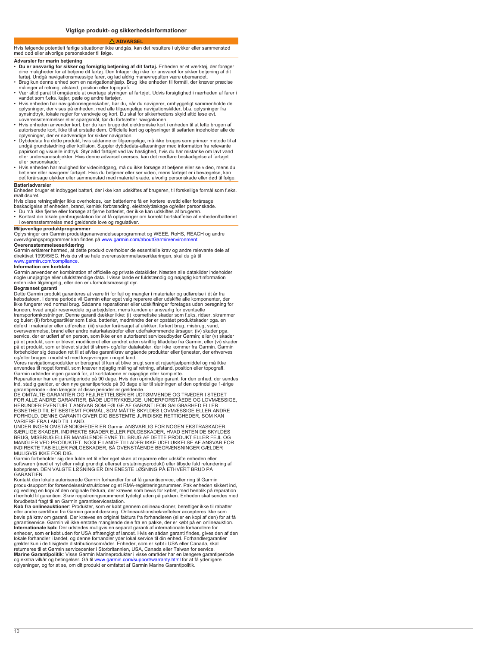#### **A** ADVARSE

<span id="page-9-0"></span>Hvis følgende potentielt farlige situationer ikke undgås, kan det resultere i ulykker eller sammenstød med død eller alvorlige personskader til følge.

# **Advarsler for marin betjening**

- **Du er ansvarlig for sikker og forsigtig betjening af dit fartøj.** Enheden er et værktøj, der forøger di<br>fa<br>Bi
- m<br>• Va
- vandet som f.eks. kajer, pæle og andre fartøjer. • Hvis enheden har navigationsegenskaber, bør du, når du navigerer, omhyggeligt sammenholde de
- op<br>sy
- uoverensstemmelser eller spørgsmål, før du fortsætter navigationen.<br>• Hvis enheden anvender kort, bør du kun bruge det elektroniske kort i enheden til at lette brugen af<br>• autoriserede kort, ikke til at erstatte dem. Offic oplysninger, der er nødvendige for sikker navigation.
- Dybdedata fra dette produkt, hvis sådanne er tilgængelige, må ikke bruges som primær metode til at<br>undgå grundstødning eller kollision. Suppler dybdedata-aflæsninger med information fra relevante<br>papirkort og visuelle in eller undervandsobjekter. Hvis denne advarsel overses, kan det medføre beskadigelse af fartøjet eller personskader.
- + Hvis enheden har mulighed for videoindgang, må du ikke forsøge at betjene eller se video, mens du<br>betjener eller navigerer fartøjet. Hvis du betjener eller ser video, mens fartøjet er i bevægelse, kan<br>det forårsage ulykk

### **Batteriadvarsler**

Enheden bruger et indbygget batteri, der ikke kan udskiftes af brugeren, til forskellige formål som f.eks. realtidsuret.

Hvis disse retningslinjer ikke overholdes, kan batterierne få en kortere levetid eller forårsage<br>beskadigelse af enheden, brand, kemisk forbrænding, elektrolytlækage og/eller personskade<br>▪ Du må ikke fjerne eller forsøge

• Kontakt din lokale genbrugsstation for at få oplysninger om korrekt bortskaffelse af enheden/batteriet i overensstemmelse med gældende love og regulativer.

# **Miljøvenlige produktprogrammer**

Oplysninger om Garmin produktgenanvendelsesprogrammet og WEEE, RoHS, REACH og andre<br>overvågningsprogrammer kan findes på [www.garmin.com/aboutGarmin/environment](http://www.garmin.com/aboutGarmin/environment).

**Overensstemmelseserklæring** Garmin erklærer hermed, at dette produkt overholder de essentielle krav og andre relevante dele af direktivet 1999/5/EC. Hvis du vil se hele overensstemmelseserklæringen, skal gå til [www.garmin.com/compliance](http://www.garmin.com/compliance).

#### **Information om kortdata**

Garmin ar<br>nogle unø<br>enten ikke

# **Begrænset garanti**

Dette Garmin produkt garanteres at være fri for fejl og mangler i materialer og udførelse i ét år fra købsdatoen. I denne periode vil Garmin efter eget valg reparere eller udskifte alle komponenter, der<br>ikke fungerer ved normal brug. Sådanne reparationer eller udskiftninger foretages uden beregning fo kunden, hvad angår reservedele og arbejdsløn, mens kunden er ansvarlig for eventuelle<br>transportomkostninger. Denne garanti dækker ikke: (i) kosmetiske skader som f.eks. ridser, skr.<br>og buler; (ii) forbrugsartikler som f.ek oversvømmelse, brand eller andre naturkatastrofer eller udefrakommende årsager; (iv) skader pga.<br>service, der er udført af en person, som ikke er en autoriseret serviceudbyder Garmin; eller (v) skader på et produkt, som er blevet modificeret eller ændret uden skriftlig tilladelse fra Garmin, eller (vi) skader<br>på et produkt, som er blevet sluttet til strøm- og/eller datakabler, der ikke kommer fra Garmin. Garmin<br>forbehol og/eller bruges i modstrid med lovgivningen i noget land.

Vores navigationsprodukter er beregnet til kun at blive brugt som et rejsehjælpemiddel og må ikke<br>anvendes til noget formål, som kræver nøjagtig måling af retning, afstand, position eller topografi.<br>Garmin udsteder ingen g

Reparationer har en garantiperiode på 90 dage. Hvis den oprindelige garanti for den enhed, der sende<br>ind, stadig gælder, er den nye garantiperiode på 90 dage eller til slutningen af den oprindelige 1-årige garantiperiode - den længste af disse perioder er gældende.<br>DE OMTALTE GARANTIER OG FEJLRETTELSER ER UDTØMMENDE OG TRÆDER I STEDET<br>FOR ALLE ANDRE GARANTIER, BÅDE UDTRYKKELIGE, UNDERFORSTÅEDE OG LOVMÆSSIGE,

HERUNDER EVENTUELT ANSVAR SOM FØLGE AF GARANTI FOR SALGBARHED ELLER<br>EGNETHED TIL ET BESTEMT FORMÅL, SOM MÅTTE SKYLDES LOVMÆSSIGE ELLER ANDRE<br>FORHOLD. DENNE GARANTI GIVER DIG BESTEMTE JURIDISKE RETTIGHEDER, SOM KAN<br>VARIERE

UNDER INGEN OMSTÆNDIGHEDER ER Garmin ANSVARLIG FOR NOGEN EKSTRASKADER, SÆRLIGE SKADER, INDIREKTE SKADER ELLER FØLGESKADER, HVAD ENTEN DE SKYLDES BRUG, MISBRUG ELLER MANGLENDE EVNE TIL BRUG AF DETTE PRODUKT ELLER FEJL OG<br>MANGLER VED PRODUKTET. NOGLE LANDE TILLADER IKKE UDELUKKELSE AF ANSVAR FOI<br>INDIREKTE TAB ELLER FØLGESKADER, SÅ OVENSTÅENDE BEGRÆNSNINGER GÆLDER MULIGVIS IKKE FOR DIG.

Garmin forbeholder sig den fulde ret til efter eget skøn at reparere eller udskifte enheden eller<br>softwaren (med et nyt eller nyligt grundigt efterset erstatningsprodukt) eller tilbyde fuld refundering af<br>købsprisen. DEN V GARANTIEN.

Kontakt den lokale autoriserede Garmin forhandler for at få garantiservice, eller ring til Garmin produktsupport for forsendelsesinstruktioner og et RMA-registreringsnummer. Pak enheden sikkert ind, og vedlæg en kopi af den originale faktura, der kræves som bevis for købet, med henblik på reparation<br>i henhold til garantien. Skriv registreringsnummeret tydeligt uden på pakken. Enheden skal sendes med<br>forudbetalt fragt

Køb fra onlineauktioner: Produkter, som er købt gennem onlineauktioner, berettiger ikke til rabatter<br>eller andre særtilbud fra Garmin garantidækning. Onlineauktionsbekræftelser accepteres ikke som<br>bevis på krav om garanti. lokale forhandler i landet, og denne forhandler yder lokal service til din enhed. Forhandlergarantier<br>gælder kun i de tilsigtede distributionsområder. Enheder, som er købt i USA eller Canada, skal<br>returneres til et Garmin og ekstra vilkår og betingelser. Gå til [www.garmin.com/support/warranty.html](http://www.garmin.com/support/warranty.html) for at få yderligere<br>oplysninger, og for at se, om dit produkt er omfattet af Garmin Marine Garantipolitik.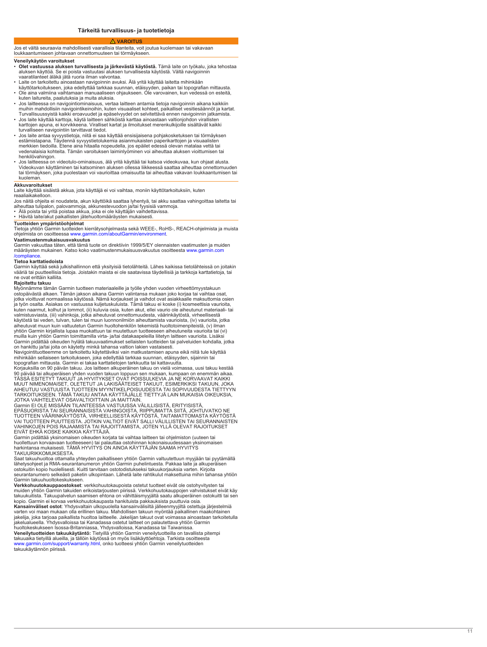#### **VAROITUS**

### <span id="page-10-0"></span>Jos et vältä seuraavia mahdollisesti vaarallisia tilanteita, voit joutua kuolemaan tai vakavaan loukkaantumiseen johtavaan onnettomuuteen tai törmäykseen.

# **Veneilykäytön varoitukset**

- **Olet vastuussa aluksen turvallisesta ja järkevästä käytöstä.** Tämä laite on työkalu, joka tehostaa aluksen käyttöä. Se ei poista vastuutasi aluksen turvallisesta käytöstä. Vältä navigoinnin vaaratilanteet äläkä jätä ruoria ilman valvontaa.
- Laite on tarkoitettu ainoastaan navigoinnin avuksi. Älä yritä käyttää laitetta mihinkään
- kå<br>• O kuten laitureita, paalutuksia ja muita aluksia.
- Jos laitteessa on navigointiominaisuus, vertaa laitteen antamia tietoja navigoinnin aikana kaikkiin m<br>Tu
- Jos laite käyttää karttoja, käytä laitteen sähköistä karttaa ainoastaan valtionjohdon virallisten ka<br>tu
- Jos laite antaa syvyystietoja, niitä ei saa käyttää ensisijaisena pohjakosketuksen tai törmäyksen es<br>m<br>ve
- he<br>Jos Videokuvan käyttäminen tai katsominen aluksen ollessa liikkeessä saattaa aiheuttaa onnettomuuden tai törmäyksen, joka puolestaan voi vaurioittaa omaisuutta tai aiheuttaa vakavan loukkaantumisen tai kuoleman.

# **Akkuvaroitukset**<br>Laite käyttää sisäistä akkua, jota käyttäjä ei voi vaihtaa, moniin käyttötarkoituksiin, kuten reaaliaikakelloon.

Jos näitä ohjeita ei noudateta, akun käyttöikä saattaa lyhentyä, tai akku saattaa vahingoittaa laitetta tai aihe<br>• Ä

• Hävitä laite/akut paikallisten jätehuoltomääräysten mukaisesti.

**Tuotteiden ympäristöohjelmat** Tietoja yhtiön Garmin tuotteiden kierrätysohjelmasta sekä WEEE-, RoHS-, REACH-ohjelmista ja muista ohielmista on osoitteessa www.garmin.com/aboutGarmin/environ

# **Vaatimustenmukaisuusvakuutus**

Garmin vakuuttaa täten, että tämä tuote on direktiivin 1999/5/EY olennaisten vaatimusten ja muiden<br>määräysten mukainen. Katso koko vaatimustenmukaisuusvakuutus osoitteesta [www.garmin.com](http://www.garmin.com/compliance)

# [/compliance](http://www.garmin.com/compliance). **Tietoa karttatiedoista**

Garmin k<br>vääriä tai ne ovat erittäin kalliita.

#### **Rajoitettu takuu**

Myönnämme tämän Garmin tuotteen materiaaleille ja työlle yhden vuoden virheettömyystakuun ostopäivästä alkaen. Tämän jakson aikana Garmin valintansa mukaan joko korjaa tai vaihtaa osat, jo<br>ja kuten naarmut, kolhut ja lommot, (ii) kuluvia osia, kuten akut, ellei vaurio ole aiheutunut materiaali- tai valmistusviasta, (iii) vahinkoja, jotka aiheutuvat onnettomuudesta, väärinkäytöstä, virheellisestä käytöstä tai veden, tulvan, tulen tai muun luonnonilmiön aiheuttamista vaurioista, (iv) vaurioita, jotka aiheutuvat muun kuin valtuutetun Garmin huoltohenkilön tekemistä huoltotoimenpiteistä, (v) ilman yhtiön Garmin kirjallista lupaa muokattuun tai muutettuun tuotteeseen aiheutuneita vaurioita tai (vi) muilla kuin yhtiön Garmin toimittamilla virta- ja/tai datakaapeleilla liitetyn laitteen vaurioita. Lisäksi Garmin pidättää oikeuden hylätä takuuvaatimukset sellaisten tuotteiden tai palveluiden kohdalla, jotka

on hankittu ja/tai joita on käytetty minkä tahansa valtion lakien vastaisesti.<br>Navigointituotteemme on tarkoitettu käytettäviksi vain matkustamisen apuna eikä niitä tule käyttää mihinkään sellaiseen tarkoitukseen, joka edellyttää tarkkaa suunnan, etäisyyden, sijainnin tai topografian mittausta. Garmin ei takaa karttatietojen tarkkuutta tai kattavuutta.

Korjauksilla on 90 päivän takuu. Jos laitteen alkuperäinen takuu on vielä voimassa, uusi takuu kestää<br>90 päivää tai alkuperäisen yhden vuoden takuun loppuun sen mukaan, kumpaan on enemmän aikaa.<br>TÄSSÄ ESITETYT TAKUUT JA HY T<br>JO

# Garmin EI OLE MISSÄÄN TILANTEESSA VASTUUSSA VÄLILLISISTÄ, ERITYISISTÄ, EPÄSUORISTA TAI SEURANNAISISTA VAHINGOISTA, RIIPPUMATTA SIITÄ, JOHTUVATKO NE<br>TUOTTEEN VÄÄRINKÄYTÖSTÄ, VIRHEELLISESTÄ KÄYTÖSTÄ, TAITAMATTOMASTA KÄYTÖSTÄ<br>VAI TUOTTEEN PUUTTEISTA. JOTKIN VALTIOT EIVÄT SALLI VÄLILLISTEN TAI SE VAHINKOJEN POIS RAJAAMISTA TAI RAJOITTAMISTA, JOTEN YLLÄ OLEVAT RAJOITUKSET EIVÄT EHKÄ KOSKE KAIKKIA KÄYTTÄJIÄ.

Garmin pidättää yksinomaisen oikeuden korjata tai vaihtaa laitteen tai ohjelmiston (uuteen tai<br>huollettuun korvaavaan tuotteeseen) tai palauttaa ostohinnan kokonaisuudessaan yksinomaisen<br>harkintansa mukaisesti. TÄMÄ HYVITY TAKUURIKKOMUKSESTA.

Saat takuuhuoltoa ottamalla yhteyden paikalliseen yhtiön Garmin valtuutettuun myyjään tai pyytämällä lähetysohjeet ja RMA-seurantanumeron yhtiön Garmin puhelintuesta. Pakkaa laite ja alkuperäisen ostokuitin kopio huolellisesti. Kuitti tarvitaan ostotodistukseksi takuukorjauksia varten. Kirjoita seurantanumero selkeästi paketin ulkopintaan. Lähetä laite rahtikulut maksettuina mihin tahansa yhtiön Garmin takuuhuoltokeskukseen.

**Verkkohuutokauppaostokset**: verkkohuutokaupoista ostetut tuotteet eivät ole ostohyvitysten tai muiden yhtiön Garmin ta<br>takuukuitista. Takuupalv kopio. Garmin ei korvaa verkkohuutokaupasta hankituista pakkauksista puuttuvia osia.

**Kansainväliset ostot**: Yhdysvaltain ulkopuolella kansainvälisiltä jälleenmyyjiltä ostettuja järjestelmiä<br>varten voi maan mukaan olla erillinen takuu. Mahdollisen takuun myöntää paikallinen maakohtainen jakelija, joka tarjoaa paikallista huoltoa laitteelle. Jakelijan takuut ovat voimassa ainoastaan tarkoitetulla jakelualueella. Yhdysvalloissa tai Kanadassa ostetut laitteet on palautettava yhtiön Garmin

huoltokeskukseen Isossa-Britanniassa, Yhdysvalloissa, Kanadassa tai Taiwanissa. **Veneilytuotteiden takuukäytäntö:** Tietyillä yhtiön Garmin veneilytuotteilla on tavallista pitempi takuuaika tietyillä alueilla, ja tällöin käytössä on myös lisäkäyttöehtoja. Tarkista osoittees<br>[www.garmin.com/support/warranty.html](http://www.garmin.com/support/warranty.html), onko tuotteesi yhtiön Garmin veneilytuotteiden<br>takuukäytännön piirissä.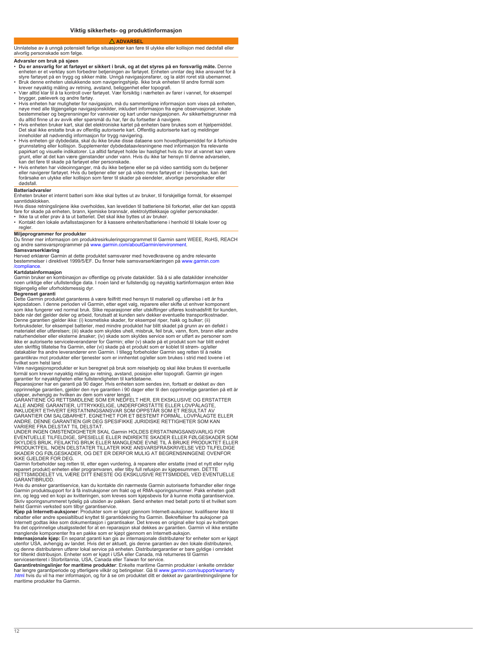#### **ADVARSEL**

<span id="page-11-0"></span>Unnlatelse av å unngå potensielt farlige situasjoner kan føre til ulykke eller kollisjon med dødsfall eller alvorlig personskade som følge.

# **Advarsler om bruk på sjøen**

- **Du er ansvarlig for at fartøyet sikkert i bruk, og det styres på en forsvarlig måte.** Denne er<br>st<br>Bi
- 
- kr<br>• Va
- brygger, pæleverk og andre fartøy. • Hvis enheten har muligheter for navigasjon, må du sammenligne informasjon som vises på enheten, nøye med alle tilgjengelige navigasjonskilder, inkludert informasjon fra egne observasjoner, lokale<br>bestemmelser og begrensninger for vannveier og kart under navigasjonen. Av sikkerhetsgrunner n
- du alltid finne ut av avvik eller spørsmål du har, før du fortsetter å navigere.
- H<br>D<br>in
- Hvis enheten gir dybdedata, skal du ikke bruke disse dataene som hovedhjelpemiddel for å forhindre<br>grunnstøting eller kollisjon. Supplementer dybdedataavlesningene med informasjon fra relevante<br>papirkart og visuelle indi gr<br>ka
- Hvis enheten har videoinnganger, må du ikke betjene eller se på video samtidig som du betjener eller navigerer fartøyet. Hvis du betjener eller ser på video mens fartøyet er i bevegelse, kan det<br>forårsake en ulykke eller kollisjon som fører til skader på eiendeler, alvorlige personskader eller dødsfall.

### **Batteriadvarsler**

Enheten bruker et internt batteri som ikke skal byttes ut av bruker, til forskjellige formål, for eksempel sanntidsklokken.

Hvis disse retningslinjene ikke overholdes, kan levetiden til batteriene bli forkortet, eller det kan oppstå<br>fare for skade på enheten, brann, kjemiske brannsår, elektrolyttlekkasje og/eller personskader.

• Ikke ta ut eller prøv å ta ut batteriet. Det skal ikke byttes ut av bruker.<br>• Kontakt den lokale avfallsstasjonen for å kassere enheten/batteriene i henhold til lokale lover og regler

**Miljøprogrammer for produkter**<br>Du finner mer informasjon om produktresirkuleringsprogrammet til Garmin samt WEEE, RoHS, REACH og andre samsvarsprogrammer på [www.garmin.com/aboutGarmin/environment.](http://www.garmin.com/aboutGarmin/environment)

# **Samsvarserklæring**

Herved erklærer Garmin at dette produktet samsvarer med hovedkravene og andre relevante<br>bestemmelser i direktivet 1999/5/EF. Du finner hele samsvarserklæringen på [www.garmin.com](http://www.garmin.com/compliance) [/compliance](http://www.garmin.com/compliance).

### **Kartdatainformasjon**

Garmin br<br>noen urikt tilgjengelig eller uforholdsmessig dyr.

#### **Begrenset garanti**

Dette Garmin produktet garanteres å være feilfritt med hensyn til materiell og utførelse i ett år fra kjøpsdatoen. I denne perioden vil Garmin, etter eget valg, reparere eller skifte ut enhver komponent sc<br>bå Denne garantien gjelder ikke: (i) kosmetiske skader, for eksempel riper, hakk og bulker; (ii) forbruksdeler, for eksempel batterier, med mindre produktet har blitt skadet på grunn av en defekt i materialet eller utførelsen; (iii) skade som skyldes uhell, misbruk, feil bruk, vann, flom, brann eller andre naturhendelser eller eksterne årsaker; (iv) skade som skyldes service som er utført av personer som ikke er autoriserte serviceleverandører for Garmin; eller (v) skade på et produkt som har blitt endret uten skriftlig tillatelse fra Garmin, eller (vi) skade på et produkt som er koblet til strøm- og/eller datakabler fra andre leverandører enn Garmin. I tillegg forbeholder Garmin seg retten til å nekte garantikrav mot produkter eller tjenester som er innhentet og/eller som brukes i strid med lovene i et hvilket som helst land.

Våre navigasjonsprodukter er kun beregnet på bruk som reisehjelp og skal ikke brukes til eventuelle<br>formål som krever nøyaktig måling av retning, avstand, posisjon eller topografi. Garmin gir ingen<br>garantier for nøyaktighe

opprinnelige garantien, gjelder den nye garantien i 90 dager eller til den opprinnelige garantien på ett år<br>utløper, avhengig av hvilken av dem som varer lengst.<br>GARANTIENE OG RETTSMIDLENE SOM ER NEDFELT HER, ER EKSKLUSIVE

ALLE ANDRE GARANTIER, UTTRYKKELIGE, UNDERFORSTÅTTE ELLER LOVPÅLAGTE, INKLUDERT ETHVERT ERSTATNINGSANSVAR SOM OPPSTÅR SOM ET RESULTAT AV<br>GARANTIER OM SALGBARHET, EGNETHET FOR ET BESTEMT FORMÅL, LOVPÅLAGTE ELLER<br>ANDRE. DENNE GARANTIEN GIR DEG SPESIFIKKE JURIDISKE RETTIGHETER SOM KAN

VARIERE FRA DELSTAT TIL DELSTAT. UNDER INGEN OMSTENDIGHETER SKAL Garmin HOLDES ERSTATNINGSANSVARLIG FOR EVENTUELLE TILFELDIGE, SPESIELLE ELLER INDIREKTE SKADER ELLER FØLGESKADER SOM SKYLDES BRUK, FEILAKTIG BRUK ELLER MANGLENDE EVNE TIL Å BRUKE PRODUKTET ELLER PRODUKTFEIL. NOEN DELSTATER TILLATER IKKE ANSVARSFRASKRIVELSE VED TILFELDIGE SKADER OG FØLGESKADER, OG DET ER DERFOR MULIG AT BEGRENSNINGENE OVENFOR

IKKE GJELDER FOR DEG. Garmin forbeholder seg retten til, etter egen vurdering, å reparere eller erstatte (med et nytt eller nylig reparert produkt) enheten eller programvaren, eller tilby full refusjon av kjøpesummen. DETTE<br>RETTSMIDDELET VIL VÆRE DITT ENESTE OG EKSKLUSIVE RETTSMIDDEL VED EVENTUELLE GARANTIBRUDD.

Hvis du ønsker garantiservice, kan du kontakte din nærmeste Garmin autoriserte forhandler eller ringe Garmin pr<br>inn, og leg<br>Skriv spor

helst Garmin verksted som tilbyr garantiservice. **Kjøp på Internett-auksjoner**: Produkter som er kjøpt gjennom Internett-auksjoner, kvalifiserer ikke til rabatter eller andre spesialtilbud knyttet til garantidekning fra Garmin. Bekreftelser fra auksjoner på<br>Internett godtas ikke som dokumentasjon i garantisaker. Det kreves en original eller kopi av kvitteringen<br>fra det oppr

**Internasjonale kjøp:** En separat garanti kan gis av internasjonale distributører for enheter som er kjøpt<br>utenfor USA, avhengig av landet. Hvis det er aktuelt, gis denne garantien av den lokale distributøren,<br>og denne dis

servicesenteret i Storbritannia, USA, Canada eller Taiwan for service. **Garantiretningslinjer for maritime produkter**: Enkelte maritime Garmin produkter i enkelte områder har lengre garantiperiode og ytterligere vilkår og betingelser. Gå til [www.garmin.com/support/warranty](http://www.garmin.com/support/warranty.html)<br>[.html](http://www.garmin.com/support/warranty.html) hvis du vil ha mer informasjon, og for å se om produktet ditt er dekket av garantiretningslinjene for maritime produkter fra Garmin.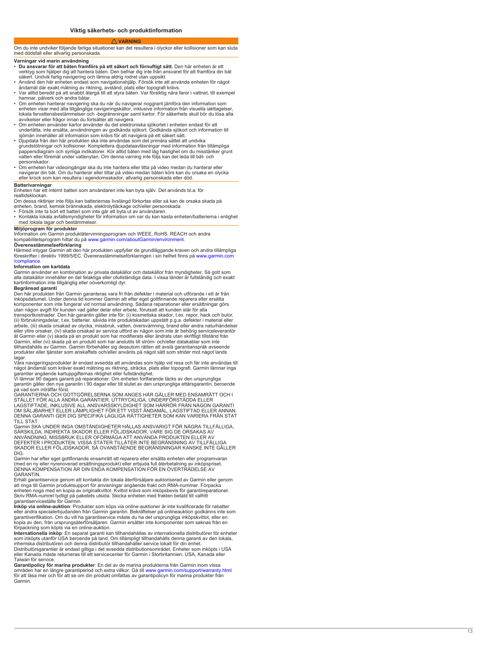#### **VARNING**

<span id="page-12-0"></span>Om du inte undviker följande farliga situationer kan det resultera i olyckor eller kollisioner som kan sluta med dödsfall eller allvarlig personskada.

# **Varningar vid marin användning**

- **Du ansvarar för att båten framförs på ett säkert och förnuftigt sätt.** Den här enheten är ett ve<br>Sä
- Använd den här enheten endast som navigationshjälp. Försök inte att använda för något är<br>• Va
- hamnar, pålverk och andra båtar.
- Om enheten hanterar navigering ska du när du navigerar noggrant jämföra den information som enheten visar med alla tillgängliga navigeringskällor, inklusive information från visuella iakttagelser,<br>lokala farvattensbestämmelser och -begränsningar samt kartor. För säkerhets skull bör du lösa alla
- avvikelser eller frågor innan du fortsätter att navigera.<br>• Om enheten använder kartor använder du det elektroniska sjökortet i enheten endast för att<br>underlätta, inte ersätta, användningen av godkända sjökort. Godkända sj
- Djupdata från den här produkten ska inte användas som det primära sättet att undvika •<br>grundstötningar och kollisioner. Komplettera djupdataavläsningar med information från<br>pappersdiagram och synliga indikatorer. Kör allt vatten eller föremål under vattenytan. Om denna varning inte följs kan det leda till båt- och personskador.
- Om enheten har videoingångar ska du inte hantera eller titta på video medan du hanterar eller<br>navigerar din båt. Om du hanterar eller tittar på video medan båten körs kan du orsaka en olyc<br>eller krock som kan resultera

### **Batterivarninga**

Enheten har ett internt batteri som användaren inte kan byta själv. Det används bl.a. för

# realtidsklockan.

Om dessa riktlinjer inte följs kan batteriernas livslängd förkortas eller så kan de orsaka skada på enh<br>• Fö

- 
- Kontakta lokala avfallsmyndigheter för information om var du kan kasta enheten/batterierna i enlighet med lokala lagar och bestämmelser.

# **Miljöprogram för produkter**

Information om Garmin produktåtervinningsprogram och WEEE, RoHS, REACH och andra<br>kompabilitetsprogram hittar du på [www.garmin.com/aboutGarmin/environment.](http://www.garmin.com/aboutGarmin/environment)

**Överensstämmelseförklaring** Härmed intygar Garmin att den här produkten uppfyller de grundläggande kraven och andra tillämpliga föreskrifter i direktiv 1999/5/EC. Överensstämmelseförklaringen i sin helhet finns på [www.garmin.com](http://www.garmin.com/compliance)

# [/compliance](http://www.garmin.com/compliance). **Information om kartdata**

Garmin ar<br>alla datak<br>kartinform

**Begränsad garanti**

Den här produkten från Garmin garanteras vara fri från defekter i material och utförande i ett år från inköpsdatumet. Under denna tid kommer Garmin att efter eget gottfinnande reparera eller ersätta<br>komponenter som inte fungerar vid normal användning. Sådana reparationer eller ersättningar gö utan någon avgift för kunden vad gäller delar eller arbete, förutsatt att kunden står för alla<br>transportkostnader. Den här garantin gäller inte för: (i) kosmetiska skador, t.ex. repor, hack och bulor,<br>(ii) förbrukningsdela eller yttre orsaker, (iv) skada orsakad av service utförd av någon som inte är behörig serviceleverantör åt Garmin eller (v) skada på en produkt som har modifierats eller ändrats utan skriftligt tillstånd från

Garmin, eller (vi) skada på en produkt som har anslutits till ström- och/eller datakablar som inte tillhandahålls av Garmin. Garmin förbehåller sig dessutom rätten att avslå garantianspråk avseende produkter eller tjänster som anskaffats och/eller använts på något sätt som strider mot något lands .<br>laqar

Våra navigeringsprodukter är endast avsedda att användas som hjälp vid resa och får inte användas till<br>något ändamål som kräver exakt mätning av riktning, sträcka, plats eller topografi. Garmin lämnar inga<br>garantier angåen

på vad som inträffar först.

GARANTIERNA OCH GOTTGÖRELSERNA SOM ANGES HÄR GÄLLER MED ENSAMRÄTT OCH I STÄLLET FÖR ALLA ANDRA GARANTIER, UTTRYCKLIGA, UNDERFÖRSTÅDDA ELLER LAGSTIFTADE, INKLUSIVE ALL ANSVARSSKYLDIGHET SOM HÄRRÖR FRÅN NÅGON GARANTI<br>OM SÄLJBARHET ELLER LÄMPLIGHET FÖR ETT VISST ÄNDAMÅL, LAGSTIFTAD ELLER ANNAN DENNA GARANTI GER DIG SPECIFIKA LAGLIGA RÄTTIGHETER SOM KAN VARIERA FRÅN STAT TILL STAT.

Garmin SKA UNDER INGA OMSTÄNDIGHETER HÅLLAS ANSVARIGT FÖR NÅGRA TILLFÄLLIGA, SÄRSKILDA, INDIREKTA SKADOR ELLER FÖLJDSKADOR, VARE SIG DE ORSAKAS AV ANVÄNDNING, MISSBRUK ELLER OFÖRMÅGA ATT ANVÄNDA PRODUKTEN ELLER AV<br>DEFEKTER I PRODUKTEN. VISSA STATER TILLÅTER INTE BEGRÄNSNING AV TILLFÄLLIGA<br>SKADOR ELLER FÖLJDSKADOR, SÅ OVANSTÅENDE BEGRÄNSNINGAR KANSKE INTE GÄLLER DIG.

Garmin har efter eget gottfinnande ensamrätt att reparera eller ersätta enheten eller programvaran<br>(med en ny eller nyrenoverad ersättningsprodukt) eller erbjuda full återbetalning av inköpspriset.<br>DENNA KOMPENSATION ÄR DI GARANTIN.

Erhåll garantiservice genom att kontakta din lokala återförsäljare auktoriserad av Garmin eller genom att ringa till Garmin produktsupport för anvisningar angående frakt och RMA-nummer. Förpacka er<br>Sl garantiserviceställe för Garmin .

**Inköp via online-auktion**: Produkter som köps via online-auktioner är inte kvalificerade för rabatter<br>eller andra specialerbjudanden från Garmin garantin. Bekräftelser på onlineauktion godkänns inte so garantiverifikation. Om du vill ha garantiservice måste du ha det ursprungliga inköpskvittot, eller en<br>kopia av den, från ursprungsåterförsäljaren. Garmin ersätter inte komponenter som saknas från en

förpackning som köpts via en online-auktion. **Internationella inköp**: En separat garanti kan tillhandahållas av internationella distributörer för enheter sc<br>in Distributörsgarantier är endast giltiga i det avsedda distributionsområdet. Enheter som inköpts i US<br>eller Kanada måste returneras till ett servicecenter för Garmin i Storbritannien, USA, Kanada eller Taiwan för service.

**Garantipolicy för marina produkter**: En del av de marina produkterna från Garmin inom vissa områden har en längre garantiperiod och extra villkor. Gå till www.garmin.com/support/warranty.h<br>för att läsa mer och för att se om din produkt omfattas av garantipolicyn för marina produkter från Garmin.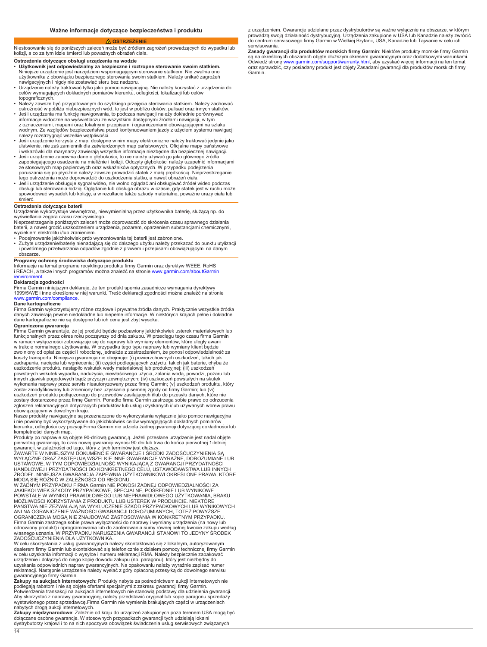# **OSTRZEŻENIE**

<span id="page-13-0"></span>Niestosowanie się do poniższych zaleceń może być źródłem zagrożeń prowadzących do wypadku lub kolizji, a co za tym idzie śmierci lub poważnych obrażeń ciała.

# **Ostrzeżenia dotyczące obsługi urządzenia na wodzie**

- **Użytkownik jest odpowiedzialny za bezpieczne i roztropne sterowanie swoim statkiem.** Ni<br>uż<br>na
- Urządzenie należy traktować tylko jako pomoc nawigacyjną. Nie należy korzystać z ur<br>celów wymagających dokładnych pomiarów kierunku, odległości, lokalizacji lub celów topograficznych.
- Należy zawsze być przygotowanym do szybkiego przejęcia sterowania statkiem. Należy zachować ostrożność w pobliżu niebezpiecznych wód, to jest w pobliżu doków, palisad oraz innych statkó<br>• Jeśli urządzenia ma funkcję nawigowania, to podczas nawigacji należy dokładnie porównywać
- in<br>z<br>w należy rozstrzygnąć wszelkie wątpliwości.
- k J<br>ا⊔<br>iv
- Je<br>za ze stosownych map papierowych oraz wskaźników optycznych. W przypadku podejrzenia<br>poruszania się po płyciżnie należy zawsze prowadzić statek z małą prędkością. Nieprzestrzeganie<br>tego ostrzeżenia może doprowadzić do uszkod
- ot<br>sp śmierć.

# **Ostrzeżenia dotyczące baterii**

Urządzenie wykorzystuje wewnętrzną, niewymienialną przez użytkownika baterię, służącą np. do

wyświetlania zegara czasu rzeczywistego. Nieprzestrzeganie poniższych zaleceń może doprowadzić do skrócenia czasu sprawnego działania ba<br>w

- Podejmowanie jakichkolwiek prób wymontowania tej baterii jest zabronione.
- Zużyte urządzenie/baterię nienadającą się do dalszego użytku należy przekazać do punktu utylizacji i p<br>ob

# **Programy ochrony środowiska dotyczące produktu**

Informacje na temat programu recyklingu produktu firmy Garmin oraz dyrektyw WEEE, RoHS<br>i REACH, a także innych programów można znaleźć na stronie www.garmin.com/aboutGarmiı mvironm

#### **Deklaracja zgodności**

Firma Garmin niniejszym deklaruje, że ten produkt spełnia zasadnicze wymagania dyrektywy<br>1999/5/WE i inne określone w niej warunki. Treść deklaracji zgodności można znaleźć na stro [www.garmin.com/compliance](http://www.garmin.com/compliance).

# **Dane kartograficzne**

Firma Garmin wykorzystujemy różne rządowe i prywatne źródła danych. Praktycznie wszystkie źródła danych zawierają pewne niedokładne lub niepełne informacje. W niektórych krajach pełne i dokładne dane kartograficzne nie są dostępne lub ich cena jest zbyt wysoka.

# **Ograniczona gwarancja**

14

Firma Garmin gwarantuje, że jej produkt będzie pozbawiony jakichkolwiek usterek materiałowych lub<br>funkcjonalnych przez okres roku począwszy od dnia zakupu. W przeciągu tego czasu firma Garmin<br>w ramach wyłączności zobowiązu zadrapania, nacięcia lub wgniecenia; (ii) części podlegających zużyciu, takich jak baterie, chyba że<br>uszkodzenie produktu nastąpiło wskutek wady materiałowej lub produkcyjnej; (iii) uszkodzeń<br>powstałych wskutek wypadku, na innych zjawisk pogodowych bądź przyczyn zewnętrznych; (iv) uszkodzeń powstałych na skutek wykonania naprawy przez serwis nieautoryzowany przez firmę Garmin; (v) uszkodzeń produktu, który został zmodyfikowany lub zmieniony bez uzyskania pisemnej zgody od firmy Garmin; lub (vi)<br>uszkodzeń produktu podłączonego do przewodów zasilających i/lub do przesyłu danych, które nie<br>zostały dostarczone przez firmę Garmin

obowiązującym w dowolnym kraju.<br>Nasze produkty nawigacyjne są przeznaczone do wykorzystania wyłącznie jako pomoc nawigacyjna<br>i nie powinny być wykorzystywane do jakichkolwiek celów wymagających dokładnych pomiarów<br>kierunku

Produkty po naprawie są objęte 90-dniową gwarancją. Jeżeli przesłane urządzenie jest nadal objęt<br>pierwotną gwarancją, to czas nowej gwarancji wynosi 90 dni lub trwa do końca pierwotnej 1-letniej<br>gwarancji, w zależności od

WYŁĄCZNE ORAZ ZASTĘPUJĄ WSZELKIE INNE GWARANCJE WYRAŻNE, DOROZUMIANE LUB<br>USTAWOWE, W TYM ODPOWIEDZIALNOŚĆ WYNIKAJĄCĄ Z GWARANCJI PRZYDATNOŚCI<br>HANDLOWEJ I PRZYDATNOŚCI DO KONKRETNEGO CELU, USTAWODAWSTWA LUB INNYCH ŹF<br>M

W ŻADNYM PRZYPADKU FIRMA Garmin NIE PONOSI ŻADNEJ ODPOWIEDZIALNOŚCI ZA<br>JAKIEKOLWIEK SZKODY PRZYPADKOWE, SPECJALNE, POŚREDNIE LUB WYNIKOWE<br>POWSTAŁE W WYNIKU PRAWIDŁOWEGO LUB NIEPRAWIDŁOWEGO UŻYTKOWANIA, BR<br>MOŻLIWOŚCI KORZYS PAŃSTWA NIE ZEZWALAJĄ NA WYKLUCZENIE SZKÓD PRZYPADKOWYCH LUB WYNIKOWYCH ANI NA OGRANICZENIE WAŻNOŚCI GWARANCJI DOROZUMIANYCH, TOTEŻ POWYŻSZE OGRANICZENI/<br>Firma Garmin za oc<br>wł ZADOŚĆUCZYNIENIA DLA UŻYTKOWNIKA.

W celu skorzystania z usług gwarancyjnych należy skontaktować się z lokalnym, autoryzowanym<br>dealerem firmy Garmin lub skontaktować się telefonicznie z działem pomocy technicznej firmy Garmin<br>w celu uzyskania informacji o w ur<br>uz reklamacji. Następnie urządzenie należy wysłać z góry opłaconą przesyłką do dowolnego serwisu

gwarancyjnego firmy Garmin.<br>**Zakupy na aukcjach internetowych:** Produkty nabyte za pośrednictwem aukcji internetowych nie<br>podlegają rabatom i nie są objęte ofertami specjalnymi z zakresu gwarancji firmy Garmin. Potwierdzenia transakcji na aukcjach internetowyc<br>Aby skorzystać z naprawy gwarancyjnej, należy p<br>wystawionego przez sprzedawcę.Firma Garmin ni

nabytych drogą aukcji internetowych. **Zakupy międzynarodowe**: Zależnie od kraju do urządzeń zakupionych poza terenem USA mogą być dc<br>dy

z urządzeniem. Gwarancje udzielane przez dystrybutorów są ważne wyłącznie na obszarze, w którym prowadzą swoją działalność dystrybucyjn<br>do centrum serwisowego firmy Garmin w serwisowania.

**Zasady gwarancji dla produktów morskich firmy Garmin**: Niektóre produkty morskie firmy Garmin są na określonych obszarach objęte dłuższym okresem gwarancyjnym oraz dodatkowymi warunkam<br>Odwiedź stronę [www.garmin.com/support/warranty.html](http://www.garmin.com/support/warranty.html), aby uzyskać więcej informacji na ten tem<br>oraz sprawdzić, czy posiadany produkt Garmin.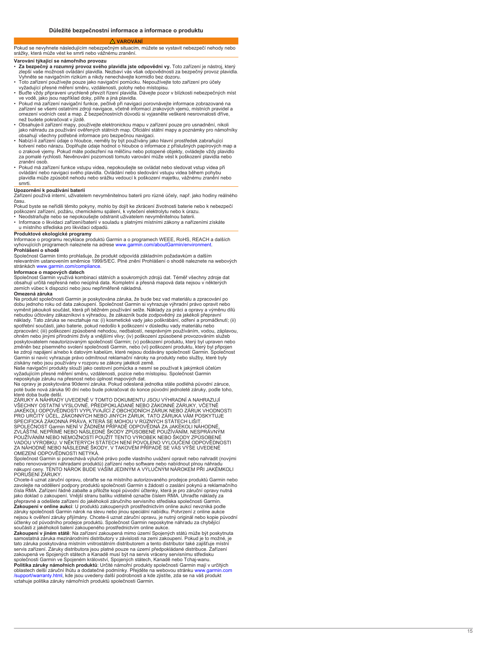#### **VAROVÁNÍ**

<span id="page-14-0"></span>Pokud se nevyhnete následujícím nebezpečným situacím, můžete se vystavit nebezpečí nehody nebo srážky, která může vést ke smrti nebo vážnému zranění.

# **Varování týkající se námořního provozu**

- **Za bezpečný a rozumný provoz svého plavidla jste odpovědni vy.** Toto zařízení je nástroj, který zlepší vaše možnosti ovládání plavidla. Nezbaví vás však odpovědnosti za bezpečný provoz plavidla. Vyhněte se navigačním rizikům a nikdy nenechávejte kormidlo bez dozoru.
- Toto zařízení používejte pouze jako navigační pomůcku. Nepoužívejte toto pro účely
- vy<br>• Bu ve vodě, jako jsou například doky, pilíře a jiná plavidla. • Pokud má zařízení navigační funkce, pečlivě při navigaci porovnávejte informace zobrazované na
- zařízení se všemi ostatními zdroji navigace, včetně informací zrakových vjemů, místních pravidel a omezení vodních cest a map. Z bezpečnostních důvodů si vyjasněte veškeré nesrovnalosti dříve, než budete pokračovat v jízdě.
- O<br>ja<br>ot
- Nabízí-li zařízení údaje o hloubce, neměly by být používány jako hlavní prostředek zabraňující<br>kotvení nebo nárazu. Doplňujte údaje hodnot o hloubce o informace z příslušných papírových r<br>o zrakové vjemy. Pokud máte pod za<br>zr
- Pokud má zařízení funkce vstupu videa, nepokoušejte se ovládat nebo sledovat vstup videa při<br>ovládání nebo navigaci svého plavidla. Ovládání nebo sledování vstupu videa během pohybu<br>plavidla může způsobit nehodu nebo srá smrti.

### **Upozornění k používání baterií**

Zařízení používá interní, uživatelem nevyměnitelnou baterii pro různé účely, např. jako hodiny reálného času.

Pi<br>po

• N<br>• In u místního střediska pro likvidaci odpadů.

**Produktové ekologické programy** Informace o programu recyklace produktů Garmin a o programech WEEE, RoHS, REACH a dalších vyhovujících programech naleznete na adrese [www.garmin.com/aboutGarmin/environment](http://www.garmin.com/aboutGarmin/environment) . **Prohlášení o shodě**

Společnost Garmin tímto prohlašuje, že produkt odpovídá základním požadavkům a dalším<br>relevantním ustanovením směrnice 1999/5/EC. Plné znění Prohlášení o shodě naleznete na stránkách [www.garmin.com/compliance](http://www.garmin.com/compliance).

#### **Informace o mapových datech**

Společnost Garmin vy<br>obsahují určitá nepřes zemích vůbec k dispozici nebo jsou nepřiměřeně nákladná.

# **Omezená záruka**

Na produkt společnosti Garmin je poskytována záruka, že bude bez vad materiálu a zpracování po dobu jednoho roku od data zakoupení. Společnost Garmin si vyhrazuje výhradní právo opravit nebo v<sub>)</sub><br>ne<br>sp zpracování; (iii) poškození způsobené nehodou, nedbalostí, nesprávným používáním, vodou, záplavou,<br>ohněm nebo jinými přírodními živly a vnějšími vlivy; (iv) poškození způsobené provozováním služeb<br>poskytovatelem neautorizo Garmin si navíc vyhrazuje právo odmítnout reklamační nároky na produkty nebo služby, které byly

získány nebo jsou používány v rozporu se zákony jakékoli země.<br>Naše navigační produkty slouží jako cestovní pomůcka a nesmí se používat k jakýmkoli úče<br>vyžadujícím přesné měření směru, vzdálenosti, pozice nebo místopisu. S ne<br>Na

poté bude nová záruka 90 dní nebo pokračovat do konce původní jednoleté záruky, podle toho,

které doba bude delší.<br>ZÁRUKY A NÁHRADY UVEDENÉ V TOMTO DOKUMENTU JSOU VÝHRADNÍ A NAHRAZUJ<br>VŠECHNY OSTATNÍ VÝSLOVNÉ, PŘEDPOKLÁDANÉ NEBO ZÁKONNÉ ZÁRUKY, VČETNĚ<br>JAKÉKOLI ODPOVĚDNOSTI VYPLÝVAJÍCÍ Z OBCHODNÍCH ZÁRUK NEBO ZÁRUK SPOLEČNOST Garmin NENÍ V ŽÁDNÉM PŘÍPADĚ ODPOVĚDNÁ ZA JAKÉKOLI NÁHODNÉ,<br>ZVLÁŠTNÍ, NEPŘÍMÉ NEBO NÁSLEDNÉ ŠKODY ZPŮSOBENÉ POUŽÍVÁNÍM, NESPRÁVNÝM<br>POUŽÍVÁNÍM NEBO NEMOŽNOSTÍ POUŽÍT TENTO VÝROBEK NEBO ŠKODY ZPŮSOBENÉ<br>VADOU VÝROB OMEZENÍ ODPOVĚDNOSTI NETÝKÁ.

Společnost Garmin si ponechává výlučné právo podle vlastního uvážení opravit nebo nahradit (novými<br>nebo renovovanými náhradami produktů) zařízení nebo software nebo nabídnout plnou náhradu ná<br>P

Chcete-li uznat záruční opravu, obraťte se na místního autorizovaného prodejce produktů Garmin nebo zavolejte na oddělení podpory produktů společnosti Garmin s žádostí o zaslání pokynů a reklamačního čísla RMA. Zařízení řádně zabalte a přiložte kopii původní účtenky, která je pro záruční opravy r<br>jako doklad o zakoupení. Vnější stranu balíku viditelně označte číslem RMA. Uhraďte náklady za<br>přepravné a odešlete zařízení **Zakoupení v online aukci**: I<br>záruky společnosti Garmin n nejsou k ověření záruky přijímány. Chcete-li uznat záruční opravu, je nutný originál nebo kopie p<br>účtenky od původního prodejce produktů. Společnost Garmin neposkytne náhradu za chybějící součásti z jakéhokoli balení zakoupeného prostřednictvím online aukce. **Zakoupení v jiném státě**: Na zařízení zakoupená mimo území Spojených států může být poskytnuta

samostatná záruka mezinárodními distributory v závislosti na zemi zakoupení. Pokud je to možné, je<br>tato záruka poskytována místním vnitrostátním distributorem a tento distributor také zajišťuje místní<br>servis zařízení. Záru společnosti Garmin ve Spojeném království, Spojených státech, Kanadě nebo Tchaj-w<br>**Politika záruky námořních produktů**: Určité námořní produkty společnosti Garmin m oblastech delší záruční lhůtu a dodatečné podmínky. Přejděte na webovou stránku [www.garmin.com](http://www.garmin.com/support/warranty.html)<br>[/support/warranty.html](http://www.garmin.com/support/warranty.html), kde jsou uvedeny další podrobnosti a kde zjistíte, zda se na váš produkt<br>vztahuje politika záruky námoř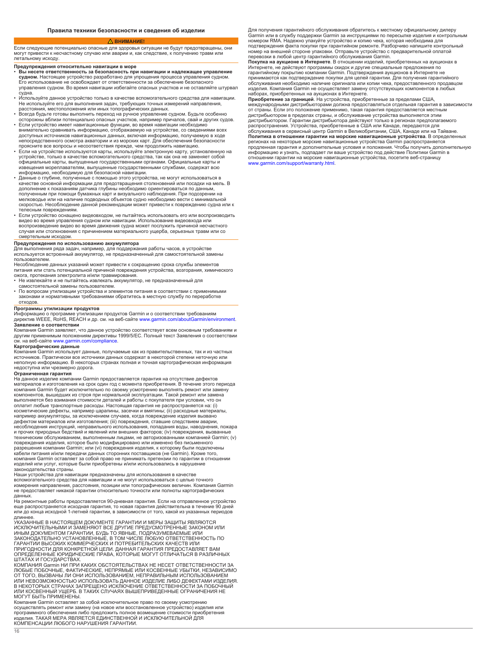#### **ВНИМАНИЕ!**

<span id="page-15-0"></span>Если следующие потенциально опасные для здоровья ситуации не будут предотвращены, они могут привести к несчастному случаю или аварии и, как следствие, к получению травм или летальному исходу.

# **Предупреждения относительно навигации в море**

- **Вы несете ответственность за безопасность при навигации и надлежащее управление судном.** Настоящее устройство разработано для упрощения процесса управления с<br>Его использование не освобождает от ответственности за обеспечение безопасного управления судном. Во время навигации избегайте опасных участков и не оставляйте штурвал судна.
- Используйте данное устройство только в качестве вспомогательного средства для навигации. Не используйте его для выполнения задач, требующих точных измерений направления,
- расстояния, местоположения или иных топографических данных. Всегда будьте готовы выполнить переход на ручное управление судном. Будьте особенно осторожны вблизи потенциально опасных участков, например причалов, свай и других судов.
- Если устройство имеет навигационные функции, во время навигации необходимо внимательно сравнивать информацию, отображаемую на устройстве, со сведениями всех доступных источников навигационных данных, включая информацию, получаемую в ходе непосредственного осмотра акватории и из морских карт. Для обеспечения безопасности
- проясните все вопросы и несоответствия прежде, чем продолжить навигацию. Если на устройстве используются карты, используйте электронную карту, установленную на устройстве, только в качестве вспомогательного средства, так как она не заменяет собой официальные карты, выпущенные государственными органами. Официальные карты и извещения мореплавателям, выпущенные государственными службами, содержат всю информацию, необходимую для безопасной навигации.
- Данные о глубине, полученные с помощью этого устройства, не могут использоваться в качестве основной информации для предотвращения столкновений или посадки на мель. В дополнение к показаниям датчика глубины необходимо ориентироваться по данным,<br>полученным при помощи бумажных карт и визуального наблюдения. При подозрении мелководье или на наличие подводных объектов судно необходимо вести с минимальной скоростью. Несоблюдение данной рекомендации может привести к повреждению судна или к телесным повреждениям.
- Если устройство оснащено видеовходом, не пытайтесь использовать его или воспроизводить видео во время управления судном или навигации. Использование видеовхода или<br>воспроизведение видео во время движения судна может послужить причиной несчастного<br>случая или столкновения с причинением материального ущерба, с смертельным исходом.

# **Предупреждения по использованию аккумулятора**

Для выполнения ряда задач, например, для поддержания работы часов, в устройстве используется встроенный аккумулятор, не предназначенный для самостоятельной замены пользователем.

Несоблюдение данных указаний может привести к сокращению срока службы элементов питания или стать потенциальной причиной повреждения устройства, возгорания, химического ожога, протекания электролита и/или травмирования.

- Не извлекайте и не пытайтесь извлекать аккумулятор, не предназначенный для самостоятельной замены пользователем.
- По вопросам утилизации устройства и элементов питания в соответствии с применимыми законами и нормативными требованиями обратитесь в местную службу по переработке отходов.

#### **Программы утилизации продуктов**

Информацию о программе утилизации продуктов Garmin и о соответствии требованиям<br>директив WEEE, RoHS, REACH и др. см. на веб-сайте [www.garmin.com/aboutGarmin/environment.](http://www.garmin.com/aboutGarmin/environment)

**Заявление о соответствии** Компания Garmin заявляет, что данное устройство соответствует всем основным требованиям и другим применимым положениям директивы 1999/5/EC. Полный текст Заявления о соответствии см. на веб-сайте [www.garmin.com/compliance](http://www.garmin.com/compliance).

# **Картографические данные**

Компания Garmin использует данные, получаемые как из правительственных, так и из частных<br>источников. Практически все источники данных содержат в некоторой степени неточную или<br>неполную информацию. В некоторых странах полн недоступна или чрезмерно дорога.

#### **Ограниченная гарантия**

На данное изделие компании Garmin предоставляется гарантия на отсутствие дефектов<br>материалов и изготовления на срок один год с момента приобретения. В течение этого п компания Garmin будет исключительно по своему усмотрению выполнять ремонт или замену компонентов, вышедших из строя при нормальной эксплуатации. Такой ремонт или замена выполняется без взимания стоимости деталей и работы с покупателя при условии, что он оплатит любые транспортные расходы. Настоящая гарантия не распространяется на: (i) косметические дефекты, например царапины, засечки и вмятины; (ii) расходные материалы, например аккумуляторы, за исключением случаев, когда повреждение изделия вызвано дефектом материалов или изготовления; (iii) повреждения, ставшие следствием аварии, несоблюдения инструкций, неправильного использования, попадания воды, наводнения, пожара и прочих природных бедствий и явлений или внешних факторов; (iv) повреждения, вызванные техническим обслуживанием, выполненным лицами, не авторизованными компанией Garmin; (v) повреждения изделия, которое было модифицировано или изменено без письменного<br>разрешения компании Garmin; или (vi) повреждения изделия, к которому были подключены<br>кабели питания и/или передачи данных сторонних поставщиков компания Garmin оставляет за собой право не принимать претензии по гарантии в отношении изделий или услуг, которые были приобретены и/или использовались в нарушение законодательства страны.

Наши устройства для навигации предназначены для использования в качестве вспомогательного средства для навигации и не могут использоваться с целью точного измерения направления, расстояния, позиции или топографических величин. Компания Garmin не предоставляет никакой гарантии относительно точности или полноты картографических д<br>Н

еще распространяется исходная гарантия, то новая гарантия действительна в течение 90 дней или до конца исходной 1-летней гарантии, в зависимости от того, какой из указанных периодов длиннее. УКАЗАННЫЕ В НАСТОЯЩЕМ ДОКУМЕНТЕ ГАРАНТИИ И МЕРЫ ЗАЩИТЫ ЯВЛЯЮТСЯ

ИСКЛЮЧИТЕЛЬНЫМИ И ЗАМЕНЯЮТ ВСЕ ДРУГИЕ ПРЕДУСМОТРЕННЫЕ ЗАКОНОМ ИЛИ<br>ИНЫМ ДОКУМЕНТОМ ГАРАНТИИ, БУДЬ ТО ЯВНЫЕ, ПОДРАЗУМЕВАЕМЫЕ ИЛИ ЗАКОНОДАТЕЛЬНО УСТАНОВЛЕННЫЕ, В ТОМ ЧИСЛЕ ЛЮБУЮ ОТВЕТСТВЕННОСТЬ ПО<br>ГАРАНТИИ ВЫСОКИХ КОММЕРЧЕСКИХ И ПОТРЕБИТЕЛЬСКИХ КАЧЕСТВ ИЛИ<br>ПРИГОДНОСТИ ДЛЯ КОНКРЕТНОЙ ЦЕЛИ. ДАННАЯ ГАРАНТИЯ ПРЕДОСТАВЛЯЕТ ВАМ<br>ОПРЕДЕЛЕННЫЕ ЮРИДИЧЕСКИЕ ПР

ШТАТАХ И ГОСУДАРСТВАХ.<br>КОМПАНИЯ Garmin НИ ПРИ КАКИХ ОБСТОЯТЕЛЬСТВАХ НЕ НЕСЕТ ОТВЕТСТВЕННОСТИ ЗА<br>ЛЮБЫЕ ПОБОЧНЫЕ, ФАКТИЧЕСКИЕ, НЕПРЯМЫЕ ИЛИ КОСВЕННЫЕ УБЫТКИ, НЕЗАВИСИМО ОТ ТОГО, ВЫЗВАНЫ ЛИ ОНИ ИСПОЛЬЗОВАНИЕМ, НЕПРАВИЛЬНЫМ ИСПОЛЬЗОВАНИЕМ<br>ИЛИ НЕВОЗМОЖНОСТЬЮ ИСПОЛЬЗОВАТЬ ДАННОЕ ИЗДЕЛИЕ ЛИБО ДЕФЕКТАМИ ИЗДЕЛ В НЕКОТОРЫХ СТРАНАХ ЗАПРЕЩЕНО ИСКЛЮЧЕНИЕ ОТВЕТСТВЕННОСТИ ЗА ПОБОЧНЫЙ ИЛИ КОСВЕННЫЙ УЩЕРБ. В ТАКИХ СЛУЧАЯХ ВЫШЕПРИВЕДЕННЫЕ ОГРАНИЧЕНИЯ НЕ МОГУТ БЫТЬ ПРИМЕНЕНЫ.

Компания Garmin оставляет за собой исключительное право по своему усмотрению осуществлять ремонт или замену (на новое или восстановленное устройство) изделия или программного обеспечения либо предложить полное возмещение стоимости приобретения изделия. ТАКАЯ МЕРА ЯВЛЯЕТСЯ ЕДИНСТВЕННОЙ И ИСКЛЮЧИТЕЛЬНОЙ ДЛЯ КОМПЕНСАЦИИ ЛЮБОГО НАРУШЕНИЯ ГАРАНТИИ.

Для получения гарантийного обслуживания обратитесь к местному официальному дилеру Garmin или в службу поддержки Garmin за инструкциями по пересылке изделия и контрольным номером RMA. Надежно упакуйте устройство и копию чека, которая необходима для подтверждения факта покупки при гарантийном ремонте. Разборчиво напишите контрольный номер на внешней стороне упаковки. Отправьте устройство с<br>перевозки в любой центр гарантийного обслуживания Garmin.

**Покупка на аукционе в Интернете**. В отношении изделий, приобретенных на аукционах в Интернете, не действуют программы скидок и другие специальные предложения по<br>гарантийному покрытию компании Garmin. Подтверждения аукционов в Интернете н<br>принимаются как подтверждение покупки для целей гарантии. Для получ обслуживания необходимо наличие оригинала или копии чека, предоставленного продавцом изделия. Компания Garmin не осуществляет замену отсутствующих компонентов в любых наборах, приобретенных на аукционах в Интернете.

**Приобретение за границей**. На устройства, приобретенные за пределами США, международными дистрибьюторами должна предоставляться отдельная гарантия в зависимости от страны. Если это положение применимо, такая гарантия предоставляется местным дистрибьютором в пределах страны, и обслуживание устройства выполняется этим<br>дистрибьютором. Гарантии дистрибьютора действуют только в регионах предполага распространения. Устройства, приобретенные в США или Канаде, передаются для обслуживания в сервисный центр Garmin в Великобритании, США, Канаде или<br>**Политика в отношении гарантии на морские навигационные устройства**. регионах на некоторые морские навигационные устройства Garmin распространяется<br>продленная гарантия и дополнительные условия и положения. Чтобы получить дополн<br>информацию и узнать, подпадает ли ваше устройство под действие [www.garmin.com/support/warranty.html](http://www.garmin.com/support/warranty.html).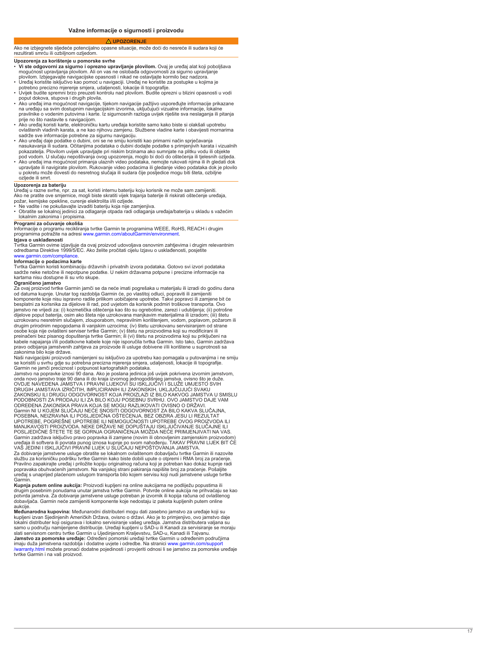#### **UPOZORENJE**

<span id="page-16-0"></span>Ako ne izbjegnete sljedeće potencijalno opasne situacije, može doći do nesreće ili sudara koji će rezultirati smrću ili ozbiljnom ozljedom.

# **Upozorenja za korištenje u pomorske svrhe**

- **Vi ste odgovorni za sigurno i oprezno upravljanje plovilom.** Ovaj je uređaj alat koji poboljšava mogućnost upravljanja plovilom. Ali on vas ne oslobađa odgovornosti za sigurno upravljanje
- U<br>• U
- potrebno precizno mjerenje smjera, udaljenosti, lokacije ili topografije. Uvijek budite spremni brzo preuzeti kontrolu nad plovilom. Budite oprezni u blizini opasnosti vodi poput dokova, stupova i drugih plovila.
- Ako uređaj ima mogućnost navigacije, tijekom navigacije pažljivo uspoređujte informacije prikazane na uređaju sa svim dostupnim navigacijskim izvorima, uključujući vizualne informacije, lokalne<br>pravilnike o vodenim putovima i karte. Iz sigurnosnih razloga uvijek riješite sva neslaganja ili pi
- prije no što nastavite s navigacijom. Ako uređaj koristi karte, elektroničku kartu uređaja koristite samo kako biste si olakšali upotrebu ovlaštenih vladinih karata, a ne kao njihovu zamjenu. Službene vladine karte i obavijesti mornarima
- sadrže sve informacije potrebne za sigurnu navigaciju.<br>• Ako uređaj daje podatke o dubini, oni se ne smiju koristiti kao primarni način sprječavanja<br>• nasukavanja ili sudara. Očitanjima podataka o dubini dodajte podatke s pokazatelja. Plovilom uvijek upravljajte pri niskim brzinama ako sumnjate na plitku vodu ili objekte
- pod vodom. U slučaju nepoštivanja ovog upozorenja, moglo bi doći do oštećenja ili tjelesnih ozljeda. Ako uređaj ima mogućnost primanja ulaznih video podataka, nemojte rukovati njima ili ih gledati dok upravljate ili navigirate plovilom. Rukovanje video podacima ili gledanje video podataka dok je<br>u pokretu može dovesti do nesretnog slučaja ili sudara čije posljedice mogu biti šteta, ozbiljne ozljede ili smrt.

# **Upozorenja za bateriju**

Uređaj u razne svrhe, npr. za sat, koristi internu bateriju koju korisnik ne može sam zamijeniti. Ako ne pratite ove smjernice, mogli biste skratiti vijek trajanja baterije ili riskirati oštećenje uređaja, požar, kemijske opekline, curenje elektrolita i/ili ozljede.

• Ne vadite i ne pokušavajte izvaditi bateriju koja nije zamjenjiva.<br>• Obratite se lokalnoj jedinici za odlaganje otpada radi odlaganja uređaja/baterija u skladu s važećim lokalnim zakonima i propisima.

# **Programi za očuvanje okoliša**

Informacije o programu recikliranja tvrtke Garmin te programima WEEE, RoHS, REACH i drugim mamasista prastite na adresi www.garmin.com/aboutGarmin/environn

**Izjava o usklađenosti**

Tvrtka Garmin ovime izjavljuje da ovaj proizvod udovoljava osnovnim zahtjevima i drugim relevantnim odredbama Direktive 1999/5/EC. Ako želite pročitati cijelu Izjavu o usklađenosti, posjetite [www.garmin.com/compliance](http://www.garmin.com/compliance)

# . **Informacije o podacima karte**

Tvrtka Garmin ko<br>sadrže neke neto kartama nisu dostupne ili su vrlo skupe.

# **Ograničeno jamstvo**

Za ovaj proizvod tvrtke Garmin jamči se da neće imati pogrešaka u materijalu ili izradi do godinu dana<br>od datuma kupnje. Unutar tog razdoblja Garmin će, po vlastitoj odluci, popraviti ili zamijeniti kc<br>be jamstvo ne vrijedi za: (i) kozmetička oštećenja kao što su ogrebotine, zarezi i udubljenja; (ii) potrošne<br>dijelove poput baterija, osim ako šteta nije uzrokovana manjkavim materijalima ili izradom; (iii) štetu<br>uzrokovanu n osobe koja nije ovlašteni serviser tvrtke Garmin; (v) štetu na proizvodima koji su modificirani ili preinačeni bez pisanog dopuštenja tvrtke Garmin; ili (vi) štetu na proizvodima koji su priključeni na kabele napajanja i/ili podatkovne kabele koje nije isporučila tvrtka Garmin. Isto tako, Garmin zadržava pravo odbijanja jamstvenih zahtjeva za proizvode ili usluge dobivene i/ili korištene u suprotnosti sa zakonima bilo koje države.

Naši navigacijski proizvodi namijenjeni su isključivo za upotrebu kao pomagala u putovanjima i ne smiju se koristiti<br>Garmin ne<br>Jamstvo r

onda novo jamstvo traje 90 dana ili do kraja izvornog jednogodišnjeg jamstva, ovisno što je duže. OVDJE NAVEDENA JAMSTVA I PRAVNI LIJEKOVI SU ISKLJUČIVI I SLUŽE UMJESTO SVIH DRUGIH JAMSTAVA IZRIČITIH, IMPLICIRANIH ILI ZAKONSKIH, UKLJUČUJUĆI SVAKU ZAKONSKU ILI DRUGU ODGOVORNOST KOJA PROIZLAZI IZ BILO KAKVOG JAMSTVA U SMISLU<br>PODOBNOSTI ZA PRODAJU ILI ZA BILO KOJU POSEBNU SVRHU. OVO JAMSTVO DAJE VAM ODREĐENA ZAKONSKA PRAVA KOJA SE MOGU RAZLIKOVATI OVISNO O DRŽAVI. Garmin NI U KOJEM SLUČAJU NEĆE SNOSITI ODGOVORNOST ZA BILO KAKVA SLUČAJNA,<br>POSEBNA, NEIZRAVNA ILI POSLJEDIČNA OŠTEĆENJA, BEZ OBZIRA JESU LI REZULTAT<br>UPOTREBE, POGREŠNE UPOTREBE ILI NEMOGUĆNOSTI UPOTREBE OVOG PROIZVODA ILI M<br>P Garmin zadržava isključivo pravo popravka ili zamjene (novim ili obnovljenim zamjenskim proizvodom)<br>uređaja ili softvera ili povrata punog iznosa kupnje po svom nahođenju. TAKAV PRAVNI LIJEK BIT ĆE<br>VAŠ JEDINI I ISKLJUČIVI Za dobivanje jamstvene usluge obratite se lokalnom ovlaštenom dobavljaču tvrtke Garmin ili nazovite

službu za korisničku podršku tvrtke Garmin kako biste dobili upute o otpremi i RMA broj za praćenje. Pravilno zapakirajte uređaj i priložite kopiju originalnog računa koji je potreban kao dokaz kupnje radi popravaka obuhvaćenih jamstvom. Na vanjskoj strani pakiranja napišite broj za praćenje. Pošaljite uređaj s unaprijed plaćenom uslugom transporta bilo kojem servisu koji nudi jamstvene usluge tvrtke Garmin.

**Kupnja putem online aukcija:** Proizvodi kupljeni na online aukcijama ne podliježu popustima ili drugim posebnim ponudama unutar jamstva tvrtke Garmin.<br>potvrda jamstva. Za dobivanje jamstvene usluge potreban je dobavljača. Garmin neće zamijeniti komponente koje nedostaju iz paketa kupljenih putem online aukcije. **Međunarodna kupovina:** Međunarodni distributeri mogu dati zasebno jamstvo za uređaje koji su

kupljeni izvan Sjedinjenih Američkih Dr<br>lokalni distributer koji osigurava i lokalr<br>samo u području namijenjene distribuc<br>slati servisnom centru tvrtke Garmin u **Jamstvo za pomorske uređaje:** Određeni pomorski uređaji tvrtke Garmin u određenim područjima<br>imaju duža jamstvena razdoblja i dodatne uvjete i odredbe. Na stranici [www.garmin.com/support](http://www.garmin.com/support/warranty.html)<br>[/warranty.html](http://www.garmin.com/support/warranty.html) možete pronaći doda tvrtke Garmin i na vaš proizvod.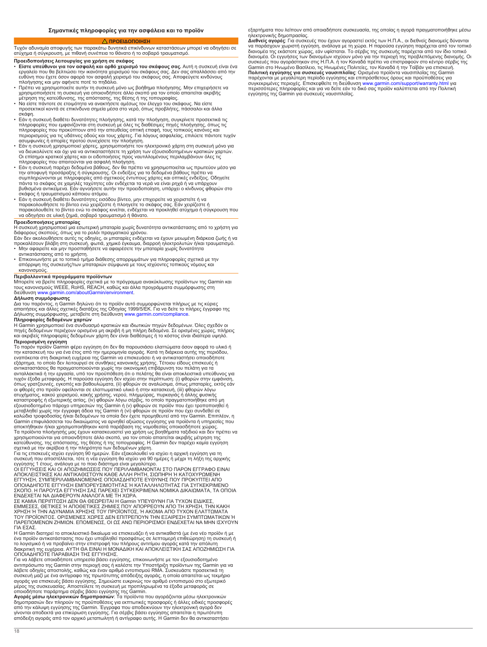# **ΠΡΟΕΙΔΟΠΟΙΗΣΗ**

<span id="page-17-0"></span>Τυχόν αδυναμία αποφυγής των παρακάτω δυνητικά επικίνδυνων καταστάσεων μπορεί να οδηγήσει σε ατύχημα ή σύγκρουση, με πιθανή συνέπεια το θάνατο σοβαρό τραυματισμό.

- 
- **Προειδοποιήσεις λειτουργίας για χρήση σε σκάφος**<br>• **Είστε υπεύθυνοι για τον ασφαλή και ορθό χειρισμό του σκάφους σας.** Αυτή η συσκευή είναι ένα<br>εργαλείο που θα βελτιώσει την ικανότητα χειρισμό του σκάφους σας. Δεν σας απ
- Πρέπει να χρησιμοποιείτε αυτήν τη συσκευή μόνο ως βοήθημα πλοήγησης. Μην επιχειρήσετε να
- χρησιμοποιήσετε τη συσκευή για οποιονδήποτε άλλο σκοπό για τον οποίο απαιτείται ακριβής<br>μέτρηση της κατεύθυνσης, της απόστασης, της θέσης ή της τοπογραφίας.<br>• Να είστε πάντοτε σε ετοιμότητα να ανακτήσετε αμέσως τον έλεγχο
- Εάν η συσκευή διαθέτει δυνατότητες πλοήγησης, κατά την πλοήγηση, συγκρίνετε προσεκτικά τις<br>πληροφορίες που εμφανίζονται στη συσκευή με όλες τις διαθέσιμες πηγές πλοήγησης, όπως τις<br>πληροφορίες που προκύπτουν από την απε
- \_ ασυμφωνίες ή απορίες προτού συνεχίσετε την πλοήγηση.<br>• Εάν η συσκευή χρησιμοποιεί χάρτες, χρησιμοποιήστε τον ηλεκτρονικό χάρτη στη συσκευή μόνο για<br>- να διευκολύνετε και όχι για να αντικαταστήσετε τη χρήση των εξουσιο Οι επίσημοι κρατικοί χάρτες και οι ειδοποιήσεις προς ναυτιλλομένους περιλαμβάνουν όλες τις πληροφορίες που απαιτούνται για ασφαλή πλοήγηση.
- Εάν η συσκευή παρέχει δεδομένα βάθους, δεν θα πρέπει να χρησιμοποιείται ως πρωτεύον μέσο για<br>την αποφυγή προσάραξης ή σύγκρουσης. Οι ενδείξεις για τα δεδομένα βάθους πρέπει να<br>συμπληρώνονται με πληροφορίες από σχετικούς
- βυθισμένα αντικείμενα. Εάν αγνοήσετε αυτήν την προειδοποίηση, υπάρχει ο κίνδυνος φθορών στο<br>σκάφος ή τραυματισμού κάποιου ατόμου.<br>• Εάν η συσκευή διαθέτει δυνατότητες εισόδου βίντεο, μην επιχειρείτε να χειριστείτε ή να<br>•

# **Προειδοποιήσεις μπαταρίας**

Η συσκευή χρησιμοποιεί μια εσωτερική μπαταρία χωρίς δυνατότητα αντικατάστασης από το χρήστη για<br>διάφορους σκοπούς, όπως για το ρολόι πραγματικού χρόνου.<br>Εάν δεν ακολουθήσετε αυτές τις οδηγίες, οι μπαταρίες ενδέχεται να έχ

- Μην αφαιρείτε και μην προσπαθήσετε να αφαιρέσετε την μπαταρία χωρίς δυνατότητα αντικατάστασης από το χρήστη.
- Επικοινωνήστε με το τοπικό τμήμα διάθεσης απορριμμάτων για πληροφορίες σχετικά με την απόρριψη της συσκευής/των μπαταριών σύμφωνα με τους ισχύοντες τοπικούς νόμους και κανονισμούς.

#### **Περιβαλλοντικά προγράμματα προϊόντων**

Μπορείτε να βρείτε πληροφορίες σχετικά με το πρόγραμμα ανακύκλωσης προϊόντων της Garmin και τους κανονισμούς WEEE, RoHS, REACH, καθώς και άλλα προγράμματα συμμόρφωσης στη διεύθυνση [www.garmin.com/aboutGarmin/environment](http://www.garmin.com/aboutGarmin/environment).

**Δήλωση συμμόρφωσης**<br>Δια του παρόντος, η Garmin δηλώνει ότι το προϊόν αυτό συμμορφώνεται πλήρως με τις κύριες<br>απαιτήσεις και άλλες σχετικές διατάξεις της Οδηγίας 1999/5/ΕΚ. Για να δείτε το πλήρες έγγραφ<br>Δήλωσης συμμόρφωση

**Πληροφορίες δεδομένων χαρτών**<br>Η Garmin χρησιμοποιεί ένα συνδυα<br>πηγές δεδομένων περιέχουν ορισμέ<br>και ακριβείς πληροφορίες δεδομένω

**Περιορισμένη εγγύηση**<br>Το παρόν προϊόν Garmin φέρει εγγύηση ότι δεν θα παρουσιάσει ελαττώματα όσον αφορά το υλικό ή<br>την κατασκευή του για ένα έτος από την ημερομηνία αγοράς. Κατά τη διάρκεια αυτής της περιόδου,<br>εναπόκειτα τυχόν έξοδα μεταφοράς. Η παρούσα εγγύηση δεν ισχύει στην περίπτωση: (i) φθορών στην εμφάνιση, όπως γρατζουνιές, εγκοπές και βαθουλώματα, (ii) φθορών σε αναλώσιμα, όπως μπαταρίες, εκτός εάν οι φθορές στο προϊόν οφείλονται σε ελαττωματικό υλικό ή στην κατασκευή, (iii) φθορών λόγω<br>ατυχήματος, κακού χειρισμού, κακής χρήσης, νερού, πλημμύρας, πυρκαγιάς ή άλλης φυσικής<br>καταστροφής ή εξωτερικής αιτίας, (iv) φθορών μεταβληθεί χωρίς την έγγραφη άδεια της Garmin ή (vi) φθορών σε προϊόν που έχει συνδεθεί σε<br>καλώδια τροφοδοσίας ή/και δεδομένων τα οποία δεν έχετε προμηθευτεί από την Garmin. Επιπλ Garmin επιφυλάσσεται του δικαιώματος να αρνηθεί αξιώσεις εγγύησης για προϊόντα ή υπηρεσίες που<br>αποκτήθηκαν ή/και χρησιμοποιήθηκαν κατά παράβαση της νομοθεσίας οποιασδήποτε χώρας.<br>Τα προϊόντα πλοήγησής μας έχουν κατασκευασ

συσκευή που αποστέλλεται, τότε η νέα εγγύηση θα ισχύει για 90 ημέρες ή μέχρι τη λήξη της αρχικής<br>εγγύησης 1 έτους, ανάλογα με το ποιο διάστημα είναι μεγαλύτερο.<br>ΟΙ ΕΓΓΥΗΣΕΙΣ ΚΑΙ ΟΙ ΑΠΟΖΗΜΙΩΣΕΙΣ ΠΟΥ ΠΕΡΙΛΑΜΒΑΝΟΝΤΑΙ ΣΤΟ ΠΑΡ ΟΠΟΙΑΔΗΠΟΤΕ ΕΓΓΥΗΣΗ ΕΜΠΟΡΕΥΣΙΜΟΤΗΤΑΣ Ή ΚΑΤΑΛΛΗΛΟΤΗΤΑΣ ΓΙΑ ΣΥΓΚΕΚΡΙΜΕΝΟ<br>ΣΚΟΠΟ. Η ΠΑΡΟΥΣΑ ΕΓΓΥΗΣΗ ΣΑΣ ΠΑΡΕΧΕΙ ΣΥΓΚΕΚΡΙΜΕΝΑ ΝΟΜΙΚΑ ΔΙΚΑΙΩΜΑΤΑ, ΤΑ ΟΠΟ<br>ΕΝΔΕΧΕΤΑΙ ΝΑ ΔΙΑΦΕΡΟΥΝ ΑΝΑΛΟΓΑ ΜΕ ΤΗ ΧΩΡΑ.<br>ΣΕ ΚΑΜΙΑ ΠΕΡΙΠΤΩΣΗ ΔΕΝ ΘΑ ΘΕΩΡΕ

ΕΜΜΕΣΕΣ, ΘΕΤΙΚΕΣ Ή ΑΠΟΘΕΤΙΚΕΣ ΖΗΜΙΕΣ ΠΟΥ ΑΠΟΡΡΕΟΥΝ ΑΠΟ ΤΗ ΧΡΗΣΗ, ΤΗΝ ΚΑΚΗ<br>ΧΡΗΣΗ Ή ΤΗΝ ΑΔΥΝΑΜΙΑ ΧΡΗΣΗΣ ΤΟΥ ΠΡΟΪΟΝΤΟΣ, Ή ΑΚΟΜΑ ΑΠΟ ΤΥΧΟΝ ΕΛΑΤΤΩΜΑΤΑ<br>ΤΟΥ ΠΡΟΪΟΝΤΟΣ. ΟΡΙΣΜΕΝΕΣ ΧΩΡΕΣ ΔΕΝ ΕΠΙΤΡΕΠΟΥΝ ΤΗΝ ΕΞΑΙΡΕΣΗ ΣΥΜΠΤΩΜΑΤΙΚΩΝ<br>ΠΑ ΓΙΑ ΕΣΑΣ. Η Garmin διατηρεί το αποκλειστικό δικαίωμα να επισκευάζει ή να αντικαθιστά (με ένα νέο προϊόν ή με

ένα προϊόν αντικατάστασης που έχει υποβληθεί προσφάτως σε λεπτομερή επιθεώρηση) τη συσκευή ή<br>το λογισμικό ή να προβαίνει στην επιστροφή του πλήρους αντιτίμου αγοράς κατά την απόλυτη<br>διακριτική της ευχέρεια. ΑΥΤΗ ΘΑ ΕΙΝΑΙ

Για να λάβετε οποιαδήποτε υπηρεσία βάσει εγγύησης, επικοινωνήστε με τον εξουσιοδοτημένο<br>αντιπρόσωπο της Garmin στην περιοχή σας ή καλέστε την Υποστήριξη προϊόντων της Garmin για να<br>λάβετε οδηγίες αποστολής, καθώς και έναν

οποιοδήποτε παράρτημα σέρβις βάσει εγγύησης της Garmin.<br>**Αγορές μέσω ηλεκτρονικών δημοτηρασιώ**ν: Τα προϊόντα που αγοράζονται μέσω ηλεκτρονικών<br>δημοπρασιών δεν πληρούν τις προϋποθέσεις για εκπτωτικές προσφορές ή άλλες ειδι

εξαρτήματα που λείπουν από οποιαδήποτε συσκευασία, της οποίας η αγορά πραγματοποιήθηκε μέσω

ηλεκτρονικής δημα<br>**Διεθνείς αγορές**: Ι να παράσχουν χωριστή εγγύηση, ανάλογα με τη χώρα. Η παρούσα εγγύηση παρέχεται από τον<br>διανομέα της εκάστοτε χώρας, εάν υφίσταται. Το σέρβις της συσκευής παρέχεται από τον ίδιο το ίδιο το ίδιο το<br>διανομέα. Οι εγγυήσεις των συγκεκριμένες περιοχές. Επισκεφθείτε τη διεύθυνση [www.garmin.com/support/warranty.html](http://www.garmin.com/support/warranty.html) για περισσότερες πληροφορίες και για να δείτε εάν το δικό σας προϊόν καλύπτεται από την Πολιτική εγγύησης της Garmin για συσκευές ναυσιπλοΐας.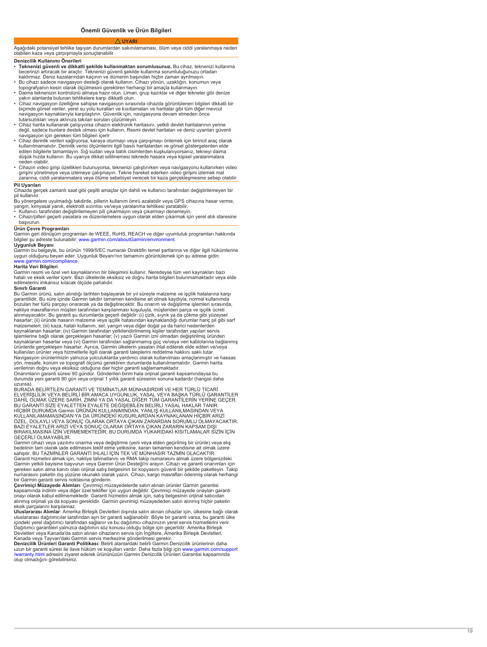#### **UYARI**

# <span id="page-18-0"></span>Aşağıdaki potansiyel tehlike taşıyan durumlardan sakınılamaması, ölüm veya ciddi yaralanmaya neden olabilen kaza veya çarpışmayla sonuçlanabilir.

# **Denizcilik Kullanımı Önerileri**

- **Teknenizi güvenli ve dikkatli şekilde kullanmaktan sorumlusunuz.** Bu cihaz, teknenizi kullanma be<br>ka
- Bu cihazı sadece navigasyon desteği olarak kullanın. Cihazı yönün, uzaklığın, konumun veya
- to<br>• Da
- yakın alanlarda bulunan tehlikelere karşı dikkatli olun. Cihaz navigasyon özelliğine sahipse navigasyon sırasında cihazda görüntülenen bilgileri dikkatli bir biçimde görsel veriler, yerel su yolu kuralları ve kısıtlamaları ve haritalar gibi tüm diğer mevcut navigasyon kaynaklarıyla karşılaştırın. Güvenlik için, navigasyona devam etmeden önce tutarsızlıkları veya aklınıza takılan soruları çözümleyin.
- Cihaz harita kullanarak çalışıyorsa cihazın elektronik haritasını, yetkili devlet haritalarının yerine değil, sadece bunlara destek olması için kullanın. Resmi devlet haritaları ve deniz uyarıları güvenli navigasyon için gereken tüm bilgileri içerir.
- ∙ Cihaz derinlik verileri sağlıyorsa, karaya oturmayı veya çarpışmayı önlemek için birincil araç olarak<br>Ikullanılmamalıdır. Derinlik verisi ölçümlerini ilgili basılı haritalardan ve görsel göstergelerden elde<br>Idilen bilg düşük hızda kullanın. Bu uyarıya dikkat edilmemesi teknede hasara veya kişisel yaralanmalara neden olabilir.
- Cihazın video girişi özellikleri bulunuyorsa, teknenizi çalıştırırken veya navigasyonu kullanırken video<br>19 girişini yönetmeye veya izlemeye çalışmayın. Tekne hareket ederken video girişini izlemek mal<br>19 zararına, cidd

# **Pil Uyarıları**

Cihazda gerçek zamanlı saat gibi çeşitli amaçlar için dahili ve kullanıcı tarafından değiştirilemeyen bir

pil kullanılır.<br>Bu yönergelere uyulmadığı takdirde, pillerin kullanım ömrü azalabilir veya GPS cihazına hasar verme,<br>yangın, kimyasal yanık, elektrolit sızıntısı ve/veya yaralanma tehlikesi yaratabilir.<br>• Kullanıcı tarafı

• Cihazı/pilleri geçerli yasalara ve düzenlemelere uygun olarak elden çıkarmak için yerel atık idaresine başvurun.

# **Ürün Çevre Programları**

Garmin geri dönüşüm programları ile WEEE, RoHS, REACH ve diğer uyumluluk programları hakkında<br>bilgiler şu adreste bulunabilir: [www.garmin.com/aboutGarmin/environment](http://www.garmin.com/aboutGarmin/environment).

**Uygunluk Beyanı**<br>Garmin bu belgeyle, bu ürünün 1999/5/EC numaralı Direktifin temel şartlarına ve diğer ilgili hükümlerine uygun olduğunu beyan eder. Uygunluk Beyanı'nın tamamını görüntülemek için şu adrese gidin: [www.garmin.com/compliance](http://www.garmin.com/compliance) .

#### **Harita Veri Bilgileri**

Garmin re<br>hatalı ve e<br>edilmeleri

# **Sınırlı Garanti**

Bu Garmin ürünü, satın alındığı tarihten başlayarak bir yıl süreyle malzeme ve işçilik hatalarına karşı garantilidir. Bu süre içinde Garmin takdiri tamamen kendisine ait olmak kaydıyla, normal kullanımda bozulan her türlü parçayı onaracak ya da değiştirecektir. Bu onarım ve değiştirme işlemleri sırasında, nakliye masraflarının müşteri tarafından karşılanması koşuluyla, müşteriden parça ve işçilik ücreti<br>alınmayacaktır. Bu garanti şu durumlarda geçerli değildir: (i) çizik, sıyrık ya da çökme gibi yüzeysel<br>hasarlar; (ii) ürün kaynaklanan hasarlar; (iv) Garmin tarafından yetkilendirilmemiş kişiler tarafından yapılan servis işlemlerine bağlı olarak gerçekleşen hasarlar; (v) yazılı Garmin izni olmadan değiştirilmiş üründen kaynaklanan hasarlar veya (vi) Garmin tarafından sağlanmamış güç ve/veya veri kablolarına bağlanmış<br>ürünlerde gerçekleşen hasarlar. Ayrıca, Garmin ülkelerin yasaları ihlal edilerek elde edilen ve/veya<br>kullanılan ürünler v Navigasyon ürünlerimizin yalnızca yolculuklarda yardımcı olarak kullanılması amaçlanmıştır ve hassas yön, mesafe, konum ve topografi ölçümü gerektiren durumlarda kullanılmamalıdır. Garmin harita<br>verilerinin doğru veya eksiksiz olduğuna dair hiçbir garanti sağlamamaktadır.<br>Onarımların garanti süresi 90 gündür. Gönderilen b

durumda yeni garanti 90 gün veya orijinal 1 yıllık garanti süresinin sonuna kadardır (hangisi daha uzunsa). BURADA BELİRTİLEN GARANTİ VE TEMİNATLAR MÜNHASIRDIR VE HER TÜRLÜ TİCARİ

ELVERİŞLİLIK VEYA BELIRLI BIR AMACA UYGUNLUK, YASAL VEYA BAŞKA TÜRLÜ GARANTILER<br>DAHİL OLMAK ÜZERE SARİH, ZIMNİ YA DA YASAL DİĞER TÜM GARANTILERİN YERİNE GEÇER. BU GARANTİ SİZE EYALETTEN EYALETE DEĞİŞEBİLEN BELİRLİ YASAL HAKLAR TANIR. HIÇBIR DURUMDA Garmin ÜRÜNÜN KULLANIMINDAN, YANLIŞ KULLANILMASINDAN VEYA<br>KULLANILAMAMASINDAN YA DA ÜRÜNDEKİ KUSURLARDAN KAYNAKLANAN HIÇBİR ARIZI<br>ÖZEL, DOLAYLI VEYA SONUÇ OLARAK ORTAYA ÇIKAN ZARARDAN SORUMLU OLMAYACA BAZI EYALETLER ARIZİ VEYA SONUÇ OLARAK ORTAYA ÇIKAN ZARARIN KAPSAM DIŞI<br>BIRAKILMASINA İZİN VERMEMEKTEDİR; BU DURUMDA YUKARIDAKİ KISITLAMALAR SİZİN İÇİN GEÇERLİ OLMAYABİLİR.

Garmin cihazı veya yazılımı onarma veya değiştirme (yeni veya elden geçirilmiş bir ürünle) veya alış<br>bedelinin tam olarak iade edilmesini teklif etme yetkisine, kararı tamamen kendisine ait olmak üzere<br>sahiptir. BU TAZMİNL Garanti hizmetini almak için, nakliye talimatlarını ve RMA takip numarasını almak üzere bölgenizdeki<br>Garmin yetkili bayisine başvurun veya Garmin Ürün Desteği'ni arayın. Cihazı ve garanti onarımları içi ge<br>nu bir Garmin garanti servis noktasına gönderin.

**Çevrimiçi Müzayede Alımları**: Çevrimiçi müzayedelerde satın alınan ürünler Garmin garantisi ka<br>or alınmış orijinali ya da kopyası gereklidir. Garmin çevrimiçi müzayededen satın alınmış hiçbir paketin eksik parçalarını karşılamaz. **Uluslararası Alımlar**: Amerika Birleşik Devletleri dışında satın alınan cihazlar için, ülkesine bağlı olarak

ul<br>içi Dağıtımcı garantileri yalnızca dağıtımın söz konusu olduğu bölge için geçerlidir. Amerika Birleşik Devletleri veya Kanada'da satın alınan cihazların servis için İngiltere, Amerika Birleşik Devletleri,

Kanada veya Tayvan'daki Garmin servis merkezine gönderilmesi gerekir.<br>**Denizcilik Ürünleri Garanti Politikası:** Belirli alanlardaki belirli Garmin Denizcilik ürünlerinin daha<br>uzun bir garanti süresi ile ilave hüküm ve koşu olup olmadığını görebilirsiniz.